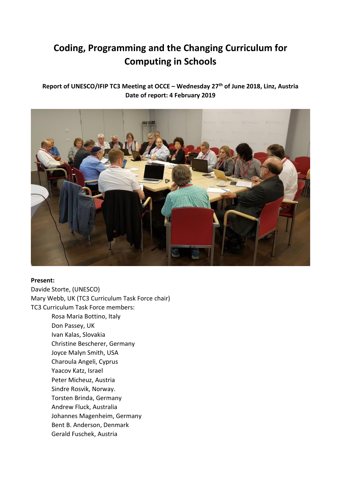# **Coding, Programming and the Changing Curriculum for Computing in Schools**

# **Report of UNESCO/IFIP TC3 Meeting at OCCE – Wednesday 27th of June 2018, Linz, Austria Date of report: 4 February 2019**



#### **Present:**

Davide Storte, (UNESCO) Mary Webb, UK (TC3 Curriculum Task Force chair) TC3 Curriculum Task Force members: Rosa Maria Bottino, Italy

Don Passey, UK Ivan Kalas, Slovakia Christine Bescherer, Germany Joyce Malyn Smith, USA Charoula Angeli, Cyprus Yaacov Katz, Israel Peter Micheuz, Austria Sindre Rosvik, Norway. Torsten Brinda, Germany Andrew Fluck, Australia Johannes Magenheim, Germany Bent B. Anderson, Denmark Gerald Fuschek, Austria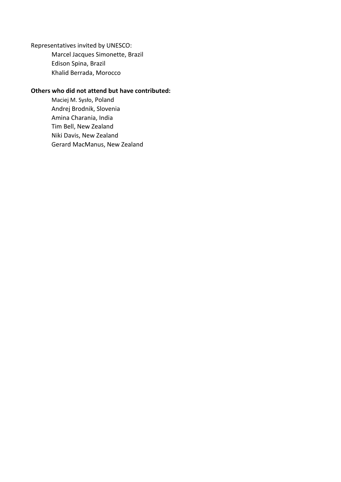Representatives invited by UNESCO: Marcel Jacques Simonette, Brazil Edison Spina, Brazil Khalid Berrada, Morocco

#### **Others who did not attend but have contributed:**

Maciej M. Sysło, Poland Andrej Brodnik, Slovenia Amina Charania, India Tim Bell, New Zealand Niki Davis, New Zealand Gerard MacManus, New Zealand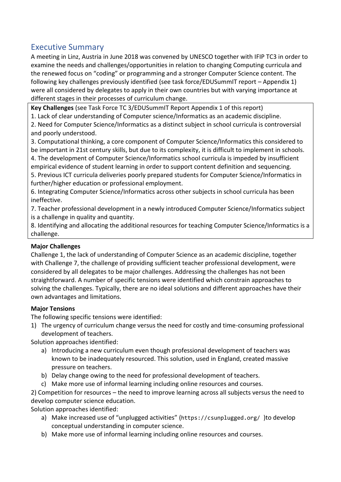# <span id="page-2-0"></span>Executive Summary

A meeting in Linz, Austria in June 2018 was convened by UNESCO together with IFIP TC3 in order to examine the needs and challenges/opportunities in relation to changing Computing curricula and the renewed focus on "coding" or programming and a stronger Computer Science content. The following key challenges previously identified (see task force/EDUSummIT report – Appendix 1) were all considered by delegates to apply in their own countries but with varying importance at different stages in their processes of curriculum change.

**Key Challenges** (see Task Force TC 3/EDUSummIT Report Appendix 1 of this report)

1. Lack of clear understanding of Computer science/Informatics as an academic discipline.

2. Need for Computer Science/Informatics as a distinct subject in school curricula is controversial and poorly understood.

3. Computational thinking, a core component of Computer Science/Informatics this considered to be important in 21st century skills, but due to its complexity, it is difficult to implement in schools. 4. The development of Computer Science/Informatics school curricula is impeded by insufficient empirical evidence of student learning in order to support content definition and sequencing.

5. Previous ICT curricula deliveries poorly prepared students for Computer Science/Informatics in further/higher education or professional employment.

6. Integrating Computer Science/Informatics across other subjects in school curricula has been ineffective.

7. Teacher professional development in a newly introduced Computer Science/Informatics subject is a challenge in quality and quantity.

8. Identifying and allocating the additional resources for teaching Computer Science/Informatics is a challenge.

# **Major Challenges**

Challenge 1, the lack of understanding of Computer Science as an academic discipline, together with Challenge 7, the challenge of providing sufficient teacher professional development, were considered by all delegates to be major challenges. Addressing the challenges has not been straightforward. A number of specific tensions were identified which constrain approaches to solving the challenges. Typically, there are no ideal solutions and different approaches have their own advantages and limitations.

# **Major Tensions**

The following specific tensions were identified:

1) The urgency of curriculum change versus the need for costly and time-consuming professional development of teachers.

Solution approaches identified:

- a) Introducing a new curriculum even though professional development of teachers was known to be inadequately resourced. This solution, used in England, created massive pressure on teachers.
- b) Delay change owing to the need for professional development of teachers.
- c) Make more use of informal learning including online resources and courses.

2) Competition for resources – the need to improve learning across all subjects versus the need to develop computer science education.

Solution approaches identified:

- a) Make increased use of "unplugged activities" (<https://csunplugged.org/> )to develop conceptual understanding in computer science.
- b) Make more use of informal learning including online resources and courses.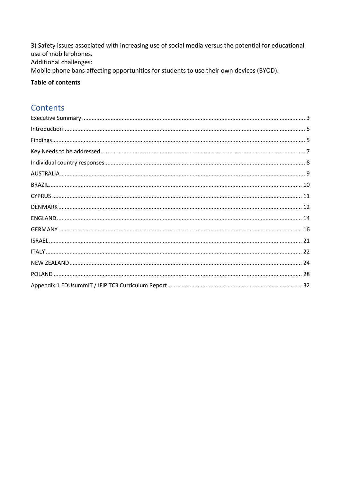3) Safety issues associated with increasing use of social media versus the potential for educational use of mobile phones. Additional challenges: Mobile phone bans affecting opportunities for students to use their own devices (BYOD).

## **Table of contents**

# **Contents**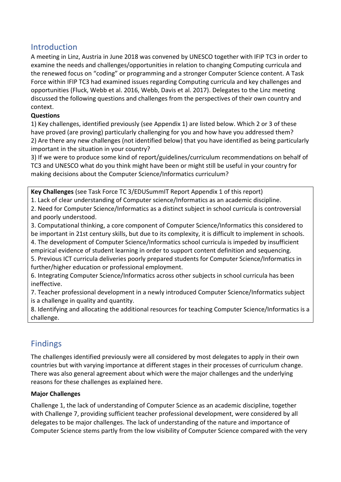# <span id="page-4-0"></span>Introduction

A meeting in Linz, Austria in June 2018 was convened by UNESCO together with IFIP TC3 in order to examine the needs and challenges/opportunities in relation to changing Computing curricula and the renewed focus on "coding" or programming and a stronger Computer Science content. A Task Force within IFIP TC3 had examined issues regarding Computing curricula and key challenges and opportunities (Fluck, Webb et al. 2016, Webb, Davis et al. 2017). Delegates to the Linz meeting discussed the following questions and challenges from the perspectives of their own country and context.

# **Questions**

1) Key challenges, identified previously (see Appendix 1) are listed below. Which 2 or 3 of these have proved (are proving) particularly challenging for you and how have you addressed them? 2) Are there any new challenges (not identified below) that you have identified as being particularly important in the situation in your country?

3) If we were to produce some kind of report/guidelines/curriculum recommendations on behalf of TC3 and UNESCO what do you think might have been or might still be useful in your country for making decisions about the Computer Science/Informatics curriculum?

**Key Challenges** (see Task Force TC 3/EDUSummIT Report Appendix 1 of this report)

1. Lack of clear understanding of Computer science/Informatics as an academic discipline.

2. Need for Computer Science/Informatics as a distinct subject in school curricula is controversial and poorly understood.

3. Computational thinking, a core component of Computer Science/Informatics this considered to be important in 21st century skills, but due to its complexity, it is difficult to implement in schools.

4. The development of Computer Science/Informatics school curricula is impeded by insufficient empirical evidence of student learning in order to support content definition and sequencing. 5. Previous ICT curricula deliveries poorly prepared students for Computer Science/Informatics in further/higher education or professional employment.

6. Integrating Computer Science/Informatics across other subjects in school curricula has been ineffective.

7. Teacher professional development in a newly introduced Computer Science/Informatics subject is a challenge in quality and quantity.

8. Identifying and allocating the additional resources for teaching Computer Science/Informatics is a challenge.

# <span id="page-4-1"></span>Findings

The challenges identified previously were all considered by most delegates to apply in their own countries but with varying importance at different stages in their processes of curriculum change. There was also general agreement about which were the major challenges and the underlying reasons for these challenges as explained here.

# **Major Challenges**

Challenge 1, the lack of understanding of Computer Science as an academic discipline, together with Challenge 7, providing sufficient teacher professional development, were considered by all delegates to be major challenges. The lack of understanding of the nature and importance of Computer Science stems partly from the low visibility of Computer Science compared with the very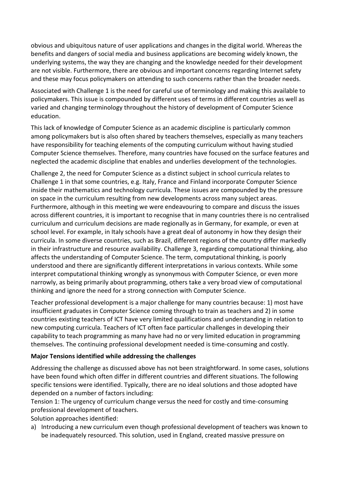obvious and ubiquitous nature of user applications and changes in the digital world. Whereas the benefits and dangers of social media and business applications are becoming widely known, the underlying systems, the way they are changing and the knowledge needed for their development are not visible. Furthermore, there are obvious and important concerns regarding Internet safety and these may focus policymakers on attending to such concerns rather than the broader needs.

Associated with Challenge 1 is the need for careful use of terminology and making this available to policymakers. This issue is compounded by different uses of terms in different countries as well as varied and changing terminology throughout the history of development of Computer Science education.

This lack of knowledge of Computer Science as an academic discipline is particularly common among policymakers but is also often shared by teachers themselves, especially as many teachers have responsibility for teaching elements of the computing curriculum without having studied Computer Science themselves. Therefore, many countries have focused on the surface features and neglected the academic discipline that enables and underlies development of the technologies.

Challenge 2, the need for Computer Science as a distinct subject in school curricula relates to Challenge 1 in that some countries, e.g. Italy, France and Finland incorporate Computer Science inside their mathematics and technology curricula. These issues are compounded by the pressure on space in the curriculum resulting from new developments across many subject areas. Furthermore, although in this meeting we were endeavouring to compare and discuss the issues across different countries, it is important to recognise that in many countries there is no centralised curriculum and curriculum decisions are made regionally as in Germany, for example, or even at school level. For example, in Italy schools have a great deal of autonomy in how they design their curricula. In some diverse countries, such as Brazil, different regions of the country differ markedly in their infrastructure and resource availability. Challenge 3, regarding computational thinking, also affects the understanding of Computer Science. The term, computational thinking, is poorly understood and there are significantly different interpretations in various contexts. While some interpret computational thinking wrongly as synonymous with Computer Science, or even more narrowly, as being primarily about programming, others take a very broad view of computational thinking and ignore the need for a strong connection with Computer Science.

Teacher professional development is a major challenge for many countries because: 1) most have insufficient graduates in Computer Science coming through to train as teachers and 2) in some countries existing teachers of ICT have very limited qualifications and understanding in relation to new computing curricula. Teachers of ICT often face particular challenges in developing their capability to teach programming as many have had no or very limited education in programming themselves. The continuing professional development needed is time-consuming and costly.

## **Major Tensions identified while addressing the challenges**

Addressing the challenge as discussed above has not been straightforward. In some cases, solutions have been found which often differ in different countries and different situations. The following specific tensions were identified. Typically, there are no ideal solutions and those adopted have depended on a number of factors including:

Tension 1: The urgency of curriculum change versus the need for costly and time-consuming professional development of teachers.

Solution approaches identified:

a) Introducing a new curriculum even though professional development of teachers was known to be inadequately resourced. This solution, used in England, created massive pressure on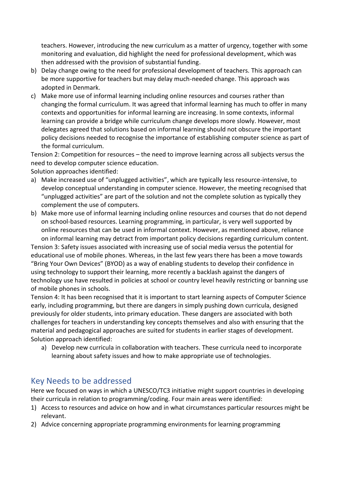teachers. However, introducing the new curriculum as a matter of urgency, together with some monitoring and evaluation, did highlight the need for professional development, which was then addressed with the provision of substantial funding.

- b) Delay change owing to the need for professional development of teachers. This approach can be more supportive for teachers but may delay much-needed change. This approach was adopted in Denmark.
- c) Make more use of informal learning including online resources and courses rather than changing the formal curriculum. It was agreed that informal learning has much to offer in many contexts and opportunities for informal learning are increasing. In some contexts, informal learning can provide a bridge while curriculum change develops more slowly. However, most delegates agreed that solutions based on informal learning should not obscure the important policy decisions needed to recognise the importance of establishing computer science as part of the formal curriculum.

Tension 2: Competition for resources – the need to improve learning across all subjects versus the need to develop computer science education.

Solution approaches identified:

- a) Make increased use of "unplugged activities", which are typically less resource-intensive, to develop conceptual understanding in computer science. However, the meeting recognised that "unplugged activities" are part of the solution and not the complete solution as typically they complement the use of computers.
- b) Make more use of informal learning including online resources and courses that do not depend on school-based resources. Learning programming, in particular, is very well supported by online resources that can be used in informal context. However, as mentioned above, reliance on informal learning may detract from important policy decisions regarding curriculum content.

Tension 3: Safety issues associated with increasing use of social media versus the potential for educational use of mobile phones. Whereas, in the last few years there has been a move towards "Bring Your Own Devices" (BYOD) as a way of enabling students to develop their confidence in using technology to support their learning, more recently a backlash against the dangers of technology use have resulted in policies at school or country level heavily restricting or banning use of mobile phones in schools.

Tension 4: It has been recognised that it is important to start learning aspects of Computer Science early, including programming, but there are dangers in simply pushing down curricula, designed previously for older students, into primary education. These dangers are associated with both challenges for teachers in understanding key concepts themselves and also with ensuring that the material and pedagogical approaches are suited for students in earlier stages of development. Solution approach identified:

a) Develop new curricula in collaboration with teachers. These curricula need to incorporate learning about safety issues and how to make appropriate use of technologies.

# <span id="page-6-0"></span>Key Needs to be addressed

Here we focused on ways in which a UNESCO/TC3 initiative might support countries in developing their curricula in relation to programming/coding. Four main areas were identified:

- 1) Access to resources and advice on how and in what circumstances particular resources might be relevant.
- 2) Advice concerning appropriate programming environments for learning programming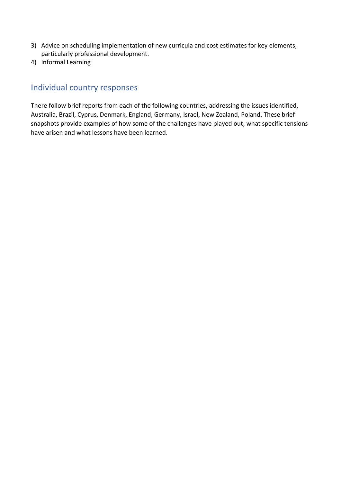- 3) Advice on scheduling implementation of new curricula and cost estimates for key elements, particularly professional development.
- 4) Informal Learning

# <span id="page-7-0"></span>Individual country responses

There follow brief reports from each of the following countries, addressing the issues identified, Australia, Brazil, Cyprus, Denmark, England, Germany, Israel, New Zealand, Poland. These brief snapshots provide examples of how some of the challenges have played out, what specific tensions have arisen and what lessons have been learned.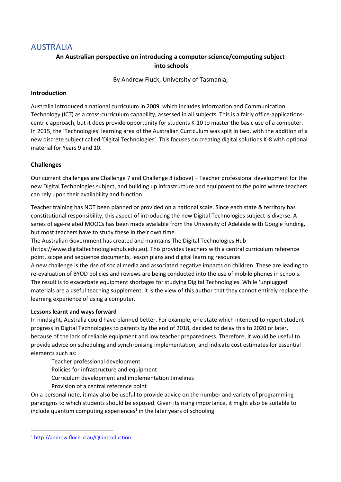# <span id="page-8-0"></span>AUSTRALIA

# **An Australian perspective on introducing a computer science/computing subject into schools**

By Andrew Fluck, University of Tasmania,

### **Introduction**

Australia introduced a national curriculum in 2009, which includes Information and Communication Technology (ICT) as a cross-curriculum capability, assessed in all subjects. This is a fairly office-applicationscentric approach, but it does provide opportunity for students K-10 to master the basic use of a computer. In 2015, the 'Technologies' learning area of the Australian Curriculum was split in two, with the addition of a new discrete subject called 'Digital Technologies'. This focuses on creating digital solutions K-8 with optional material for Years 9 and 10.

## **Challenges**

Our current challenges are Challenge 7 and Challenge 8 (above) – Teacher professional development for the new Digital Technologies subject, and building up infrastructure and equipment to the point where teachers can rely upon their availability and function.

Teacher training has NOT been planned or provided on a national scale. Since each state & territory has constitutional responsibility, this aspect of introducing the new Digital Technologies subject is diverse. A series of age-related MOOCs has been made available from the University of Adelaide with Google funding, but most teachers have to study these in their own time.

The Australian Government has created and maintains The Digital Technologies Hub [\(https://www.digitaltechnologieshub.edu.au\)](https://www.digitaltechnologieshub.edu.au/). This provides teachers with a central curriculum reference

point, scope and sequence documents, lesson plans and digital learning resources. A new challenge is the rise of social media and associated negative impacts on children. These are leading to

re-evaluation of BYOD policies and reviews are being conducted into the use of mobile phones in schools. The result is to exacerbate equipment shortages for studying Digital Technologies. While 'unplugged' materials are a useful teaching supplement, it is the view of this author that they cannot entirely replace the learning experience of using a computer.

#### **Lessons learnt and ways forward**

In hindsight, Australia could have planned better. For example, one state which intended to report student progress in Digital Technologies to parents by the end of 2018, decided to delay this to 2020 or later, because of the lack of reliable equipment and low teacher preparedness. Therefore, it would be useful to provide advice on scheduling and synchronising implementation, and indicate cost estimates for essential elements such as:

Teacher professional development

Policies for infrastructure and equipment

Curriculum development and implementation timelines

Provision of a central reference point

On a personal note, it may also be useful to provide advice on the number and variety of programming paradigms to which students should be exposed. Given its rising importance, it might also be suitable to include quantum computing experiences<sup>1</sup> in the later years of schooling.

<sup>1</sup> <http://andrew.fluck.id.au/QCintroduction>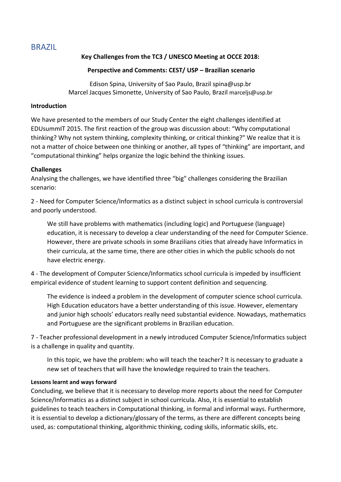# <span id="page-9-0"></span>BRAZIL

# **Key Challenges from the TC3 / UNESCO Meeting at OCCE 2018:**

### **Perspective and Comments: CEST/ USP – Brazilian scenario**

Edison Spina, University of Sao Paulo, Brazil [spina@usp.br](mailto:spina@usp.br) Marcel Jacques Simonette, University of Sao Paulo, Brazil [marceljs@usp.br](mailto:marceljs@usp.br)

#### **Introduction**

We have presented to the members of our Study Center the eight challenges identified at EDUsummIT 2015. The first reaction of the group was discussion about: "Why computational thinking? Why not system thinking, complexity thinking, or critical thinking?" We realize that it is not a matter of choice between one thinking or another, all types of "thinking" are important, and "computational thinking" helps organize the logic behind the thinking issues.

## **Challenges**

Analysing the challenges, we have identified three "big" challenges considering the Brazilian scenario:

2 - Need for Computer Science/Informatics as a distinct subject in school curricula is controversial and poorly understood.

We still have problems with mathematics (including logic) and Portuguese (language) education, it is necessary to develop a clear understanding of the need for Computer Science. However, there are private schools in some Brazilians cities that already have Informatics in their curricula, at the same time, there are other cities in which the public schools do not have electric energy.

4 - The development of Computer Science/Informatics school curricula is impeded by insufficient empirical evidence of student learning to support content definition and sequencing.

The evidence is indeed a problem in the development of computer science school curricula. High Education educators have a better understanding of this issue. However, elementary and junior high schools' educators really need substantial evidence. Nowadays, mathematics and Portuguese are the significant problems in Brazilian education.

7 - Teacher professional development in a newly introduced Computer Science/Informatics subject is a challenge in quality and quantity.

In this topic, we have the problem: who will teach the teacher? It is necessary to graduate a new set of teachers that will have the knowledge required to train the teachers.

#### **Lessons learnt and ways forward**

Concluding, we believe that it is necessary to develop more reports about the need for Computer Science/Informatics as a distinct subject in school curricula. Also, it is essential to establish guidelines to teach teachers in Computational thinking, in formal and informal ways. Furthermore, it is essential to develop a dictionary/glossary of the terms, as there are different concepts being used, as: computational thinking, algorithmic thinking, coding skills, informatic skills, etc.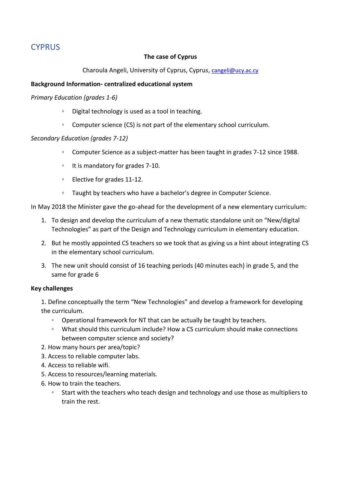# <span id="page-10-0"></span>**CYPRUS**

### **The case of Cyprus**

#### Charoula Angeli, University of Cyprus, Cyprus, [cangeli@ucy.ac.cy](mailto:cangeli@ucy.ac.cy)

#### **Background Information- centralized educational system**

#### *Primary Education (grades 1-6)*

- Digital technology is used as a tool in teaching.
- Computer science (CS) is not part of the elementary school curriculum.

#### *Secondary Education (grades 7-12)*

- Computer Science as a subject-matter has been taught in grades 7-12 since 1988.
- It is mandatory for grades 7-10.
- Elective for grades 11-12.
- Taught by teachers who have a bachelor's degree in Computer Science.

In May 2018 the Minister gave the go-ahead for the development of a new elementary curriculum:

- 1. To design and develop the curriculum of a new thematic standalone unit on "New/digital Technologies" as part of the Design and Technology curriculum in elementary education.
- 2. But he mostly appointed CS teachers so we took that as giving us a hint about integrating CS in the elementary school curriculum.
- 3. The new unit should consist of 16 teaching periods (40 minutes each) in grade 5, and the same for grade 6

#### **Key challenges**

1. Define conceptually the term "New Technologies" and develop a framework for developing the curriculum.

- Operational framework for NT that can be actually be taught by teachers.
- What should this curriculum include? How a CS curriculum should make connections between computer science and society?
- 2. How many hours per area/topic?
- 3. Access to reliable computer labs.
- 4. Access to reliable wifi.
- 5. Access to resources/learning materials.
- 6. How to train the teachers.
	- Start with the teachers who teach design and technology and use those as multipliers to train the rest.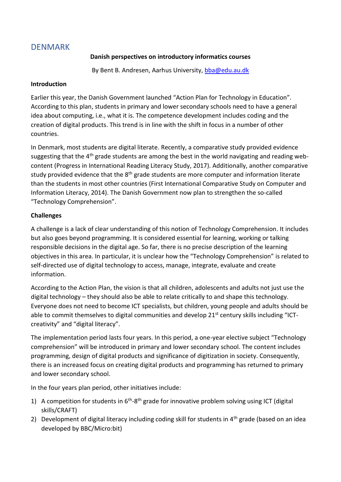# <span id="page-11-0"></span>DENMARK

# **Danish perspectives on introductory informatics courses**

By Bent B. Andresen, Aarhus University, [bba@edu.au.dk](mailto:bba@edu.au.dk)

### **Introduction**

Earlier this year, the Danish Government launched "Action Plan for Technology in Education". According to this plan, students in primary and lower secondary schools need to have a general idea about computing, i.e., what it is. The competence development includes coding and the creation of digital products. This trend is in line with the shift in focus in a number of other countries.

In Denmark, most students are digital literate. Recently, a comparative study provided evidence suggesting that the 4<sup>th</sup> grade students are among the best in the world navigating and reading webcontent (Progress in International Reading Literacy Study, 2017). Additionally, another comparative study provided evidence that the  $8<sup>th</sup>$  grade students are more computer and information literate than the students in most other countries (First International Comparative Study on Computer and Information Literacy, 2014). The Danish Government now plan to strengthen the so-called "Technology Comprehension".

## **Challenges**

A challenge is a lack of clear understanding of this notion of Technology Comprehension. It includes but also goes beyond programming. It is considered essential for learning, working or talking responsible decisions in the digital age. So far, there is no precise description of the learning objectives in this area. In particular, it is unclear how the "Technology Comprehension" is related to self-directed use of digital technology to access, manage, integrate, evaluate and create information.

According to the Action Plan, the vision is that all children, adolescents and adults not just use the digital technology – they should also be able to relate critically to and shape this technology. Everyone does not need to become ICT specialists, but children, young people and adults should be able to commit themselves to digital communities and develop  $21<sup>st</sup>$  century skills including "ICTcreativity" and "digital literacy".

The implementation period lasts four years. In this period, a one-year elective subject "Technology comprehension" will be introduced in primary and lower secondary school. The content includes programming, design of digital products and significance of digitization in society. Consequently, there is an increased focus on creating digital products and programming has returned to primary and lower secondary school.

In the four years plan period, other initiatives include:

- 1) A competition for students in  $6<sup>th</sup>-8<sup>th</sup>$  grade for innovative problem solving using ICT (digital skills/CRAFT)
- 2) Development of digital literacy including coding skill for students in  $4<sup>th</sup>$  grade (based on an idea developed by BBC/Micro:bit)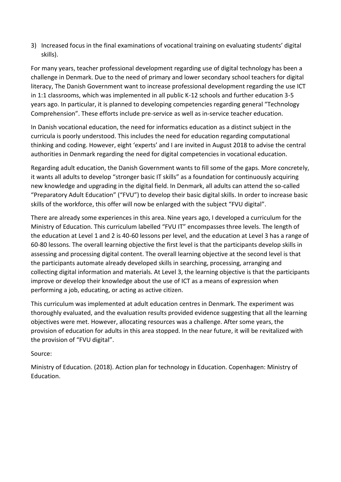3) Increased focus in the final examinations of vocational training on evaluating students' digital skills).

For many years, teacher professional development regarding use of digital technology has been a challenge in Denmark. Due to the need of primary and lower secondary school teachers for digital literacy, The Danish Government want to increase professional development regarding the use ICT in 1:1 classrooms, which was implemented in all public K-12 schools and further education 3-5 years ago. In particular, it is planned to developing competencies regarding general "Technology Comprehension". These efforts include pre-service as well as in-service teacher education.

In Danish vocational education, the need for informatics education as a distinct subject in the curricula is poorly understood. This includes the need for education regarding computational thinking and coding. However, eight 'experts' and I are invited in August 2018 to advise the central authorities in Denmark regarding the need for digital competencies in vocational education.

Regarding adult education, the Danish Government wants to fill some of the gaps. More concretely, it wants all adults to develop "stronger basic IT skills" as a foundation for continuously acquiring new knowledge and upgrading in the digital field. In Denmark, all adults can attend the so-called "Preparatory Adult Education" ("FVU") to develop their basic digital skills. In order to increase basic skills of the workforce, this offer will now be enlarged with the subject "FVU digital".

There are already some experiences in this area. Nine years ago, I developed a curriculum for the Ministry of Education. This curriculum labelled "FVU IT" encompasses three levels. The length of the education at Level 1 and 2 is 40-60 lessons per level, and the education at Level 3 has a range of 60-80 lessons. The overall learning objective the first level is that the participants develop skills in assessing and processing digital content. The overall learning objective at the second level is that the participants automate already developed skills in searching, processing, arranging and collecting digital information and materials. At Level 3, the learning objective is that the participants improve or develop their knowledge about the use of ICT as a means of expression when performing a job, educating, or acting as active citizen.

This curriculum was implemented at adult education centres in Denmark. The experiment was thoroughly evaluated, and the evaluation results provided evidence suggesting that all the learning objectives were met. However, allocating resources was a challenge. After some years, the provision of education for adults in this area stopped. In the near future, it will be revitalized with the provision of "FVU digital".

## Source:

Ministry of Education. (2018). Action plan for technology in Education. Copenhagen: Ministry of Education.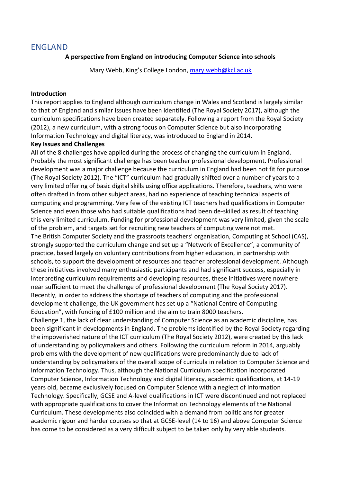# <span id="page-13-0"></span>ENGLAND

### **A perspective from England on introducing Computer Science into schools**

Mary Webb, King's College London, [mary.webb@kcl.ac.uk](mailto:mary.webb@kcl.ac.uk)

#### **Introduction**

This report applies to England although curriculum change in Wales and Scotland is largely similar to that of England and similar issues have been identified (The Royal Society 2017), although the curriculum specifications have been created separately. Following a report from the Royal Society (2012), a new curriculum, with a strong focus on Computer Science but also incorporating Information Technology and digital literacy, was introduced to England in 2014.

#### **Key Issues and Challenges**

All of the 8 challenges have applied during the process of changing the curriculum in England. Probably the most significant challenge has been teacher professional development. Professional development was a major challenge because the curriculum in England had been not fit for purpose (The Royal Society 2012). The "ICT" curriculum had gradually shifted over a number of years to a very limited offering of basic digital skills using office applications. Therefore, teachers, who were often drafted in from other subject areas, had no experience of teaching technical aspects of computing and programming. Very few of the existing ICT teachers had qualifications in Computer Science and even those who had suitable qualifications had been de-skilled as result of teaching this very limited curriculum. Funding for professional development was very limited, given the scale of the problem, and targets set for recruiting new teachers of computing were not met. The British Computer Society and the grassroots teachers' organisation, Computing at School (CAS), strongly supported the curriculum change and set up a "Network of Excellence", a community of practice, based largely on voluntary contributions from higher education, in partnership with schools, to support the development of resources and teacher professional development. Although these initiatives involved many enthusiastic participants and had significant success, especially in interpreting curriculum requirements and developing resources, these initiatives were nowhere near sufficient to meet the challenge of professional development (The Royal Society 2017). Recently, in order to address the shortage of teachers of computing and the professional development challenge, the UK government has set up a "National Centre of Computing Education", with funding of £100 million and the aim to train 8000 teachers. Challenge 1, the lack of clear understanding of Computer Science as an academic discipline, has been significant in developments in England. The problems identified by the Royal Society regarding the impoverished nature of the ICT curriculum (The Royal Society 2012), were created by this lack of understanding by policymakers and others. Following the curriculum reform in 2014, arguably problems with the development of new qualifications were predominantly due to lack of understanding by policymakers of the overall scope of curricula in relation to Computer Science and Information Technology. Thus, although the National Curriculum specification incorporated Computer Science, Information Technology and digital literacy, academic qualifications, at 14-19 years old, became exclusively focused on Computer Science with a neglect of Information Technology. Specifically, GCSE and A-level qualifications in ICT were discontinued and not replaced

with appropriate qualifications to cover the Information Technology elements of the National Curriculum. These developments also coincided with a demand from politicians for greater academic rigour and harder courses so that at GCSE-level (14 to 16) and above Computer Science has come to be considered as a very difficult subject to be taken only by very able students.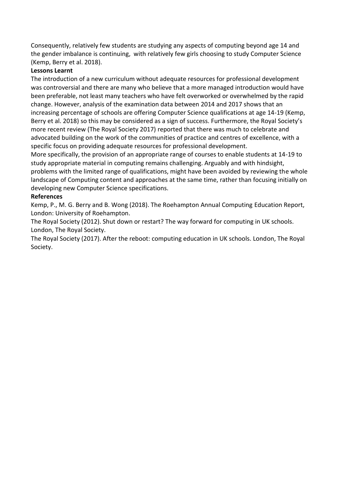Consequently, relatively few students are studying any aspects of computing beyond age 14 and the gender imbalance is continuing, with relatively few girls choosing to study Computer Science (Kemp, Berry et al. 2018).

# **Lessons Learnt**

The introduction of a new curriculum without adequate resources for professional development was controversial and there are many who believe that a more managed introduction would have been preferable, not least many teachers who have felt overworked or overwhelmed by the rapid change. However, analysis of the examination data between 2014 and 2017 shows that an increasing percentage of schools are offering Computer Science qualifications at age 14-19 (Kemp, Berry et al. 2018) so this may be considered as a sign of success. Furthermore, the Royal Society's more recent review (The Royal Society 2017) reported that there was much to celebrate and advocated building on the work of the communities of practice and centres of excellence, with a specific focus on providing adequate resources for professional development.

More specifically, the provision of an appropriate range of courses to enable students at 14-19 to study appropriate material in computing remains challenging. Arguably and with hindsight,

problems with the limited range of qualifications, might have been avoided by reviewing the whole landscape of Computing content and approaches at the same time, rather than focusing initially on developing new Computer Science specifications.

# **References**

Kemp, P., M. G. Berry and B. Wong (2018). The Roehampton Annual Computing Education Report, London: University of Roehampton.

The Royal Society (2012). Shut down or restart? The way forward for computing in UK schools. London, The Royal Society.

The Royal Society (2017). After the reboot: computing education in UK schools. London, The Royal Society.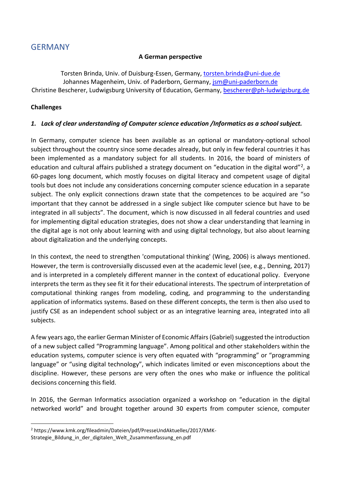# <span id="page-15-0"></span>GERMANY

## **A German perspective**

Torsten Brinda, Univ. of Duisburg-Essen, Germany, [torsten.brinda@uni-due.de](mailto:torsten.brinda@uni-due.de) Johannes Magenheim, Univ. of Paderborn, Germany, [jsm@uni-paderborn.de](mailto:jsm@uni-paderborn.de) Christine Bescherer, Ludwigsburg University of Education, Germany, [bescherer@ph-ludwigsburg.de](mailto:bescherer@ph-ludwigsburg.de)

# **Challenges**

# *1. Lack of clear understanding of Computer science education /Informatics as a school subject.*

In Germany, computer science has been available as an optional or mandatory-optional school subject throughout the country since some decades already, but only in few federal countries it has been implemented as a mandatory subject for all students. In 2016, the board of ministers of education and cultural affairs published a strategy document on "education in the digital word"<sup>2</sup>, a 60-pages long document, which mostly focuses on digital literacy and competent usage of digital tools but does not include any considerations concerning computer science education in a separate subject. The only explicit connections drawn state that the competences to be acquired are "so important that they cannot be addressed in a single subject like computer science but have to be integrated in all subjects". The document, which is now discussed in all federal countries and used for implementing digital education strategies, does not show a clear understanding that learning in the digital age is not only about learning with and using digital technology, but also about learning about digitalization and the underlying concepts.

In this context, the need to strengthen 'computational thinking' (Wing, 2006) is always mentioned. However, the term is controversially discussed even at the academic level (see, e.g., Denning, 2017) and is interpreted in a completely different manner in the context of educational policy. Everyone interprets the term as they see fit it for their educational interests. The spectrum of interpretation of computational thinking ranges from modeling, coding, and programming to the understanding application of informatics systems. Based on these different concepts, the term is then also used to justify CSE as an independent school subject or as an integrative learning area, integrated into all subjects.

A few years ago, the earlier German Minister of Economic Affairs (Gabriel) suggested the introduction of a new subject called "Programming language". Among political and other stakeholders within the education systems, computer science is very often equated with "programming" or "programming language" or "using digital technology", which indicates limited or even misconceptions about the discipline. However, these persons are very often the ones who make or influence the political decisions concerning this field.

In 2016, the German Informatics association organized a workshop on "education in the digital networked world" and brought together around 30 experts from computer science, computer

<sup>2</sup> https://www.kmk.org/fileadmin/Dateien/pdf/PresseUndAktuelles/2017/KMK-Strategie\_Bildung\_in\_der\_digitalen\_Welt\_Zusammenfassung\_en.pdf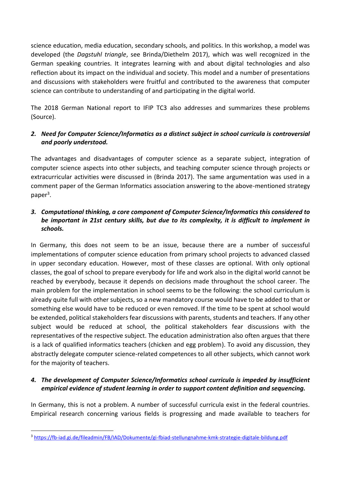science education, media education, secondary schools, and politics. In this workshop, a model was developed (the *Dagstuhl triangle*, see Brinda/Diethelm 2017), which was well recognized in the German speaking countries. It integrates learning with and about digital technologies and also reflection about its impact on the individual and society. This model and a number of presentations and discussions with stakeholders were fruitful and contributed to the awareness that computer science can contribute to understanding of and participating in the digital world.

The 2018 German National report to IFIP TC3 also addresses and summarizes these problems (Source).

# *2. Need for Computer Science/Informatics as a distinct subject in school curricula is controversial and poorly understood.*

The advantages and disadvantages of computer science as a separate subject, integration of computer science aspects into other subjects, and teaching computer science through projects or extracurricular activities were discussed in (Brinda 2017). The same argumentation was used in a comment paper of the German Informatics association answering to the above-mentioned strategy paper<sup>3</sup>.

# *3. Computational thinking, a core component of Computer Science/Informatics this considered to be important in 21st century skills, but due to its complexity, it is difficult to implement in schools.*

In Germany, this does not seem to be an issue, because there are a number of successful implementations of computer science education from primary school projects to advanced classed in upper secondary education. However, most of these classes are optional. With only optional classes, the goal of school to prepare everybody for life and work also in the digital world cannot be reached by everybody, because it depends on decisions made throughout the school career. The main problem for the implementation in school seems to be the following: the school curriculum is already quite full with other subjects, so a new mandatory course would have to be added to that or something else would have to be reduced or even removed. If the time to be spent at school would be extended, political stakeholders fear discussions with parents, students and teachers. If any other subject would be reduced at school, the political stakeholders fear discussions with the representatives of the respective subject. The education administration also often argues that there is a lack of qualified informatics teachers (chicken and egg problem). To avoid any discussion, they abstractly delegate computer science-related competences to all other subjects, which cannot work for the majority of teachers.

# *4. The development of Computer Science/Informatics school curricula is impeded by insufficient empirical evidence of student learning in order to support content definition and sequencing.*

In Germany, this is not a problem. A number of successful curricula exist in the federal countries. Empirical research concerning various fields is progressing and made available to teachers for

<sup>3</sup> <https://fb-iad.gi.de/fileadmin/FB/IAD/Dokumente/gi-fbiad-stellungnahme-kmk-strategie-digitale-bildung.pdf>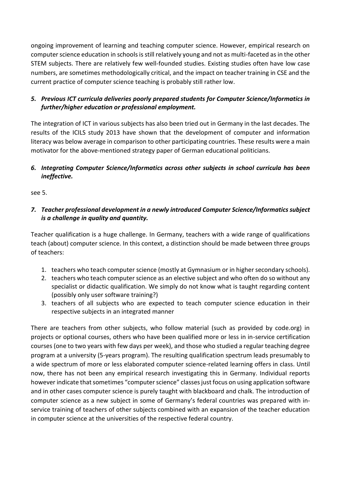ongoing improvement of learning and teaching computer science. However, empirical research on computer science education in schools is still relatively young and not as multi-faceted as in the other STEM subjects. There are relatively few well-founded studies. Existing studies often have low case numbers, are sometimes methodologically critical, and the impact on teacher training in CSE and the current practice of computer science teaching is probably still rather low.

# *5. Previous ICT curricula deliveries poorly prepared students for Computer Science/Informatics in further/higher education or professional employment.*

The integration of ICT in various subjects has also been tried out in Germany in the last decades. The results of the ICILS study 2013 have shown that the development of computer and information literacy was below average in comparison to other participating countries. These results were a main motivator for the above-mentioned strategy paper of German educational politicians.

# *6. Integrating Computer Science/Informatics across other subjects in school curricula has been ineffective.*

see 5.

*7. Teacher professional development in a newly introduced Computer Science/Informatics subject is a challenge in quality and quantity.*

Teacher qualification is a huge challenge. In Germany, teachers with a wide range of qualifications teach (about) computer science. In this context, a distinction should be made between three groups of teachers:

- 1. teachers who teach computer science (mostly at Gymnasium or in higher secondary schools).
- 2. teachers who teach computer science as an elective subject and who often do so without any specialist or didactic qualification. We simply do not know what is taught regarding content (possibly only user software training?)
- 3. teachers of all subjects who are expected to teach computer science education in their respective subjects in an integrated manner

There are teachers from other subjects, who follow material (such as provided by code.org) in projects or optional courses, others who have been qualified more or less in in-service certification courses (one to two years with few days per week), and those who studied a regular teaching degree program at a university (5-years program). The resulting qualification spectrum leads presumably to a wide spectrum of more or less elaborated computer science-related learning offers in class. Until now, there has not been any empirical research investigating this in Germany. Individual reports however indicate that sometimes "computer science" classes just focus on using application software and in other cases computer science is purely taught with blackboard and chalk. The introduction of computer science as a new subject in some of Germany's federal countries was prepared with inservice training of teachers of other subjects combined with an expansion of the teacher education in computer science at the universities of the respective federal country.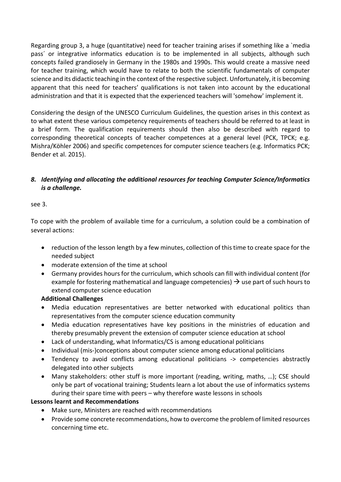Regarding group 3, a huge (quantitative) need for teacher training arises if something like a `media pass´ or integrative informatics education is to be implemented in all subjects, although such concepts failed grandiosely in Germany in the 1980s and 1990s. This would create a massive need for teacher training, which would have to relate to both the scientific fundamentals of computer science and its didactic teaching in the context of the respective subject. Unfortunately, it is becoming apparent that this need for teachers' qualifications is not taken into account by the educational administration and that it is expected that the experienced teachers will 'somehow' implement it.

Considering the design of the UNESCO Curriculum Guidelines, the question arises in this context as to what extent these various competency requirements of teachers should be referred to at least in a brief form. The qualification requirements should then also be described with regard to corresponding theoretical concepts of teacher competences at a general level (PCK, TPCK; e.g. Mishra/Köhler 2006) and specific competences for computer science teachers (e.g. Informatics PCK; Bender et al. 2015).

# *8. Identifying and allocating the additional resources for teaching Computer Science/Informatics is a challenge.*

see 3.

To cope with the problem of available time for a curriculum, a solution could be a combination of several actions:

- reduction of the lesson length by a few minutes, collection of this time to create space for the needed subject
- moderate extension of the time at school
- Germany provides hours for the curriculum, which schools can fill with individual content (for example for fostering mathematical and language competencies)  $\rightarrow$  use part of such hours to extend computer science education

## **Additional Challenges**

- Media education representatives are better networked with educational politics than representatives from the computer science education community
- Media education representatives have key positions in the ministries of education and thereby presumably prevent the extension of computer science education at school
- Lack of understanding, what Informatics/CS is among educational politicians
- Individual (mis-)conceptions about computer science among educational politicians
- Tendency to avoid conflicts among educational politicians -> competencies abstractly delegated into other subjects
- Many stakeholders: other stuff is more important (reading, writing, maths, …); CSE should only be part of vocational training; Students learn a lot about the use of informatics systems during their spare time with peers – why therefore waste lessons in schools

## **Lessons learnt and Recommendations**

- Make sure, Ministers are reached with recommendations
- Provide some concrete recommendations, how to overcome the problem of limited resources concerning time etc.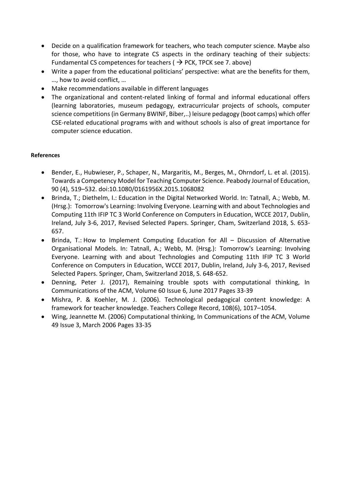- Decide on a qualification framework for teachers, who teach computer science. Maybe also for those, who have to integrate CS aspects in the ordinary teaching of their subjects: Fundamental CS competences for teachers ( $\rightarrow$  PCK, TPCK see 7. above)
- Write a paper from the educational politicians' perspective: what are the benefits for them, …, how to avoid conflict, …
- Make recommendations available in different languages
- The organizational and content-related linking of formal and informal educational offers (learning laboratories, museum pedagogy, extracurricular projects of schools, computer science competitions (in Germany BWINF, Biber,..) leisure pedagogy (boot camps) which offer CSE-related educational programs with and without schools is also of great importance for computer science education.

#### **References**

- Bender, E., Hubwieser, P., Schaper, N., Margaritis, M., Berges, M., Ohrndorf, L. et al. (2015). Towards a Competency Model for Teaching Computer Science. Peabody Journal of Education, 90 (4), 519–532. doi:10.1080/0161956X.2015.1068082
- Brinda, T.; Diethelm, I.: Education in the Digital Networked World. In: Tatnall, A.; Webb, M. (Hrsg.): Tomorrow's Learning: Involving Everyone. Learning with and about Technologies and Computing 11th IFIP TC 3 World Conference on Computers in Education, WCCE 2017, Dublin, Ireland, July 3-6, 2017, Revised Selected Papers. Springer, Cham, Switzerland 2018, S. 653- 657.
- Brinda, T.: How to Implement Computing Education for All Discussion of Alternative Organisational Models. In: Tatnall, A.; Webb, M. (Hrsg.): Tomorrow's Learning: Involving Everyone. Learning with and about Technologies and Computing 11th IFIP TC 3 World Conference on Computers in Education, WCCE 2017, Dublin, Ireland, July 3-6, 2017, Revised Selected Papers. Springer, Cham, Switzerland 2018, S. 648-652.
- Denning, Peter J. (2017), Remaining trouble spots with computational thinking, In Communications of the ACM, Volume 60 Issue 6, June 2017 Pages 33-39
- Mishra, P. & Koehler, M. J. (2006). Technological pedagogical content knowledge: A framework for teacher knowledge. Teachers College Record, 108(6), 1017–1054.
- Wing, Jeannette M. (2006) Computational thinking, In Communications of the ACM, Volume 49 Issue 3, March 2006 Pages 33-35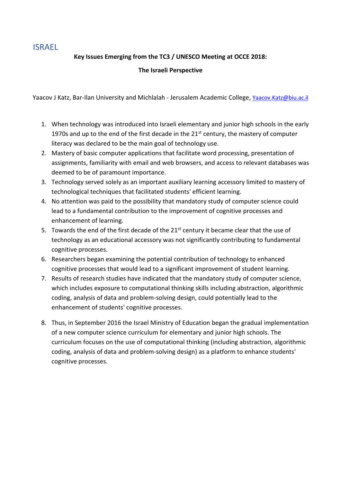# <span id="page-20-0"></span>ISRAEL

# **Key Issues Emerging from the TC3 / UNESCO Meeting at OCCE 2018:**

**The Israeli Perspective**

Yaacov J Katz, Bar-Ilan University and Michlalah - Jerusalem Academic College, [Yaacov.Katz@biu.ac.il](mailto:Yaacov.Katz@biu.ac.il)

- 1. When technology was introduced into Israeli elementary and junior high schools in the early 1970s and up to the end of the first decade in the  $21<sup>st</sup>$  century, the mastery of computer literacy was declared to be the main goal of technology use.
- 2. Mastery of basic computer applications that facilitate word processing, presentation of assignments, familiarity with email and web browsers, and access to relevant databases was deemed to be of paramount importance.
- 3. Technology served solely as an important auxiliary learning accessory limited to mastery of technological techniques that facilitated students' efficient learning.
- 4. No attention was paid to the possibility that mandatory study of computer science could lead to a fundamental contribution to the improvement of cognitive processes and enhancement of learning.
- 5. Towards the end of the first decade of the 21<sup>st</sup> century it became clear that the use of technology as an educational accessory was not significantly contributing to fundamental cognitive processes.
- 6. Researchers began examining the potential contribution of technology to enhanced cognitive processes that would lead to a significant improvement of student learning.
- 7. Results of research studies have indicated that the mandatory study of computer science, which includes exposure to computational thinking skills including abstraction, algorithmic coding, analysis of data and problem-solving design, could potentially lead to the enhancement of students' cognitive processes.
- 8. Thus, in September 2016 the Israel Ministry of Education began the gradual implementation of a new computer science curriculum for elementary and junior high schools. The curriculum focuses on the use of computational thinking (including abstraction, algorithmic coding, analysis of data and problem-solving design) as a platform to enhance students' cognitive processes.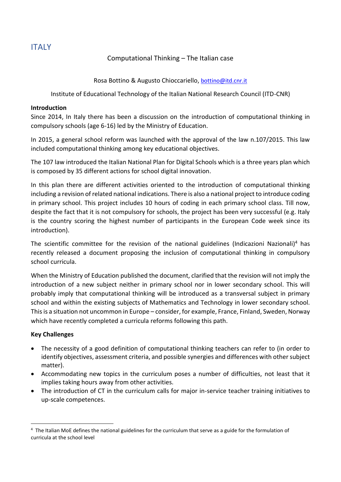<span id="page-21-0"></span>**ITALY** 

# Computational Thinking – The Italian case

Rosa Bottino & Augusto Chioccariello, [bottino@itd.cnr.it](mailto:bottino@itd.cnr.it)

Institute of Educational Technology of the Italian National Research Council (ITD-CNR)

#### **Introduction**

Since 2014, In Italy there has been a discussion on the introduction of computational thinking in compulsory schools (age 6-16) led by the Ministry of Education.

In 2015, a general school reform was launched with the approval of the law n.107/2015. This law included computational thinking among key educational objectives.

The 107 law introduced the Italian National Plan for Digital Schools which is a three years plan which is composed by 35 different actions for school digital innovation.

In this plan there are different activities oriented to the introduction of computational thinking including a revision of related national indications. There is also a national project to introduce coding in primary school. This project includes 10 hours of coding in each primary school class. Till now, despite the fact that it is not compulsory for schools, the project has been very successful (e.g. Italy is the country scoring the highest number of participants in the European Code week since its introduction).

The scientific committee for the revision of the national guidelines (Indicazioni Nazionali)<sup>4</sup> has recently released a document proposing the inclusion of computational thinking in compulsory school curricula.

When the Ministry of Education published the document, clarified that the revision will not imply the introduction of a new subject neither in primary school nor in lower secondary school. This will probably imply that computational thinking will be introduced as a transversal subject in primary school and within the existing subjects of Mathematics and Technology in lower secondary school. This is a situation not uncommon in Europe – consider, for example, France, Finland, Sweden, Norway which have recently completed a curricula reforms following this path.

## **Key Challenges**

- The necessity of a good definition of computational thinking teachers can refer to (in order to identify objectives, assessment criteria, and possible synergies and differences with other subject matter).
- Accommodating new topics in the curriculum poses a number of difficulties, not least that it implies taking hours away from other activities.
- The introduction of CT in the curriculum calls for major in-service teacher training initiatives to up-scale competences.

<sup>&</sup>lt;sup>4</sup> The Italian MoE defines the national guidelines for the curriculum that serve as a guide for the formulation of curricula at the school level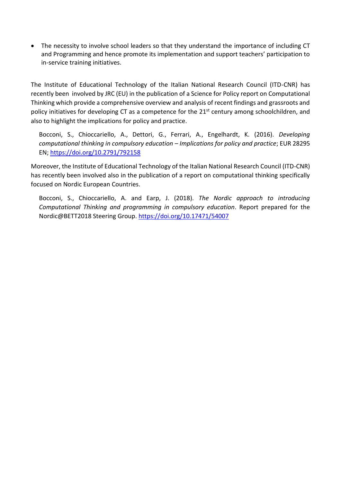• The necessity to involve school leaders so that they understand the importance of including CT and Programming and hence promote its implementation and support teachers' participation to in-service training initiatives.

The Institute of Educational Technology of the Italian National Research Council (ITD-CNR) has recently been involved by JRC (EU) in the publication of a Science for Policy report on Computational Thinking which provide a comprehensive overview and analysis of recent findings and grassroots and policy initiatives for developing CT as a competence for the 21<sup>st</sup> century among schoolchildren, and also to highlight the implications for policy and practice.

Bocconi, S., Chioccariello, A., Dettori, G., Ferrari, A., Engelhardt, K. (2016). *Developing computational thinking in compulsory education – Implications for policy and practice*; EUR 28295 EN[; https://doi.org/10.2791/792158](https://doi.org/10.2791/792158)

Moreover, the Institute of Educational Technology of the Italian National Research Council (ITD-CNR) has recently been involved also in the publication of a report on computational thinking specifically focused on Nordic European Countries.

Bocconi, S., Chioccariello, A. and Earp, J. (2018). *The Nordic approach to introducing Computational Thinking and programming in compulsory education*. Report prepared for the Nordic@BETT2018 Steering Group.<https://doi.org/10.17471/54007>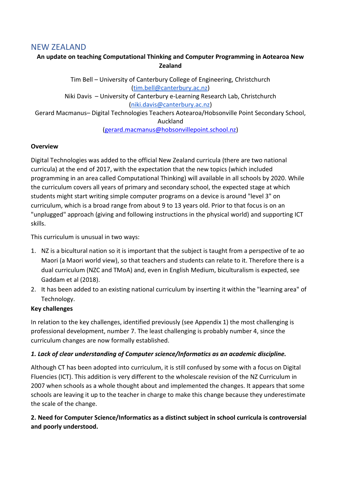# <span id="page-23-0"></span>NEW ZEALAND

# **An update on teaching Computational Thinking and Computer Programming in Aotearoa New Zealand**

Tim Bell – University of Canterbury College of Engineering, Christchurch [\(tim.bell@canterbury.ac.nz\)](mailto:tim.bell@canterbury.ac.nz) Niki Davis – University of Canterbury e-Learning Research Lab, Christchurch [\(niki.davis@canterbury.ac.nz\)](mailto:niki.davis@canterbury.ac.nz) Gerard Macmanus– Digital Technologies Teachers Aotearoa/Hobsonville Point Secondary School, Auckland [\(gerard.macmanus@hobsonvillepoint.school.nz\)](mailto:gerard.macmanus@hobsonvillepoint.school.nz)

# **Overview**

Digital Technologies was added to the official New Zealand curricula (there are two national curricula) at the end of 2017, with the expectation that the new topics (which included programming in an area called Computational Thinking) will available in all schools by 2020. While the curriculum covers all years of primary and secondary school, the expected stage at which students might start writing simple computer programs on a device is around "level 3" on curriculum, which is a broad range from about 9 to 13 years old. Prior to that focus is on an "unplugged" approach (giving and following instructions in the physical world) and supporting ICT skills.

This curriculum is unusual in two ways:

- 1. NZ is a bicultural nation so it is important that the subject is taught from a perspective of te ao Maori (a Maori world view), so that teachers and students can relate to it. Therefore there is a dual curriculum (NZC and TMoA) and, even in English Medium, biculturalism is expected, see Gaddam et al (2018).
- 2. It has been added to an existing national curriculum by inserting it within the "learning area" of Technology.

## **Key challenges**

In relation to the key challenges, identified previously (see Appendix 1) the most challenging is professional development, number 7. The least challenging is probably number 4, since the curriculum changes are now formally established.

## *1. Lack of clear understanding of Computer science/Informatics as an academic discipline.*

Although CT has been adopted into curriculum, it is still confused by some with a focus on Digital Fluencies (ICT). This addition is very different to the wholescale revision of the NZ Curriculum in 2007 when schools as a whole thought about and implemented the changes. It appears that some schools are leaving it up to the teacher in charge to make this change because they underestimate the scale of the change.

# **2. Need for Computer Science/Informatics as a distinct subject in school curricula is controversial and poorly understood.**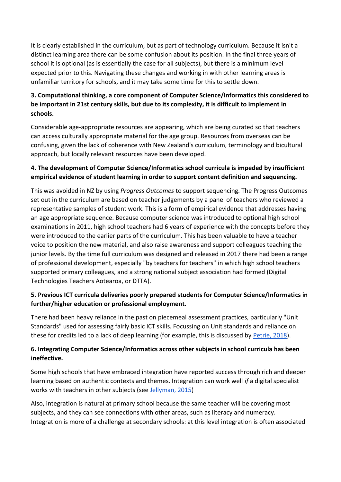It is clearly established in the curriculum, but as part of technology curriculum. Because it isn't a distinct learning area there can be some confusion about its position. In the final three years of school it is optional (as is essentially the case for all subjects), but there is a minimum level expected prior to this. Navigating these changes and working in with other learning areas is unfamiliar territory for schools, and it may take some time for this to settle down.

# **3. Computational thinking, a core component of Computer Science/Informatics this considered to be important in 21st century skills, but due to its complexity, it is difficult to implement in schools.**

Considerable age-appropriate resources are appearing, which are being curated so that teachers can access culturally appropriate material for the age group. Resources from overseas can be confusing, given the lack of coherence with New Zealand's curriculum, terminology and bicultural approach, but locally relevant resources have been developed.

# **4. The development of Computer Science/Informatics school curricula is impeded by insufficient empirical evidence of student learning in order to support content definition and sequencing.**

This was avoided in NZ by using *Progress Outcomes* to support sequencing. The Progress Outcomes set out in the curriculum are based on teacher judgements by a panel of teachers who reviewed a representative samples of student work. This is a form of empirical evidence that addresses having an age appropriate sequence. Because computer science was introduced to optional high school examinations in 2011, high school teachers had 6 years of experience with the concepts before they were introduced to the earlier parts of the curriculum. This has been valuable to have a teacher voice to position the new material, and also raise awareness and support colleagues teaching the junior levels. By the time full curriculum was designed and released in 2017 there had been a range of professional development, especially "by teachers for teachers" in which high school teachers supported primary colleagues, and a strong national subject association had formed (Digital Technologies Teachers Aotearoa, or DTTA).

# **5. Previous ICT curricula deliveries poorly prepared students for Computer Science/Informatics in further/higher education or professional employment.**

There had been heavy reliance in the past on piecemeal assessment practices, particularly "Unit Standards" used for assessing fairly basic ICT skills. Focussing on Unit standards and reliance on these for credits led to a lack of deep learning (for example, this is discussed by [Petrie, 2018\)](https://nzareblog.wordpress.com/%E2%80%A6/%E2%80%A6/07/creative-thinking-dt/).

# **6. Integrating Computer Science/Informatics across other subjects in school curricula has been ineffective.**

Some high schools that have embraced integration have reported success through rich and deeper learning based on authentic contexts and themes. Integration can work well *if* a digital specialist works with teachers in other subjects (see [Jellyman, 2015\)](http://www.educationalleaders.govt.nz/content/download/73195/601556/file/Philip%20Jellyman%20Sabbatical%20Report%202015%20-%20Models%20of%20Curriculum%20Integration.pdf)

Also, integration is natural at primary school because the same teacher will be covering most subjects, and they can see connections with other areas, such as literacy and numeracy. Integration is more of a challenge at secondary schools: at this level integration is often associated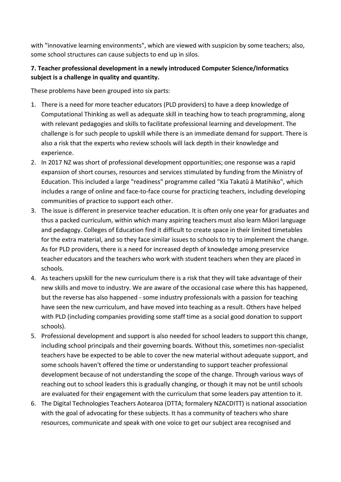with "innovative learning environments", which are viewed with suspicion by some teachers; also, some school structures can cause subjects to end up in silos.

# **7. Teacher professional development in a newly introduced Computer Science/Informatics subject is a challenge in quality and quantity.**

These problems have been grouped into six parts:

- 1. There is a need for more teacher educators (PLD providers) to have a deep knowledge of Computational Thinking as well as adequate skill in teaching how to teach programming, along with relevant pedagogies and skills to facilitate professional learning and development. The challenge is for such people to upskill while there is an immediate demand for support. There is also a risk that the experts who review schools will lack depth in their knowledge and experience.
- 2. In 2017 NZ was short of professional development opportunities; one response was a rapid expansion of short courses, resources and services stimulated by funding from the Ministry of Education. This included a large "readiness" programme called "Kia Takatū ā Matihiko", which includes a range of online and face-to-face course for practicing teachers, including developing communities of practice to support each other.
- 3. The issue is different in preservice teacher education. It is often only one year for graduates and thus a packed curriculum, within which many aspiring teachers must also learn Māori language and pedagogy. Colleges of Education find it difficult to create space in their limited timetables for the extra material, and so they face similar issues to schools to try to implement the change. As for PLD providers, there is a need for increased depth of knowledge among preservice teacher educators and the teachers who work with student teachers when they are placed in schools.
- 4. As teachers upskill for the new curriculum there is a risk that they will take advantage of their new skills and move to industry. We are aware of the occasional case where this has happened, but the reverse has also happened - some industry professionals with a passion for teaching have seen the new curriculum, and have moved into teaching as a result. Others have helped with PLD (including companies providing some staff time as a social good donation to support schools).
- 5. Professional development and support is also needed for school leaders to support this change, including school principals and their governing boards. Without this, sometimes non-specialist teachers have be expected to be able to cover the new material without adequate support, and some schools haven't offered the time or understanding to support teacher professional development because of not understanding the scope of the change. Through various ways of reaching out to school leaders this is gradually changing, or though it may not be until schools are evaluated for their engagement with the curriculum that some leaders pay attention to it.
- 6. The Digital Technologies Teachers Aotearoa (DTTA; formalery NZACDITT) is national association with the goal of advocating for these subjects. It has a community of teachers who share resources, communicate and speak with one voice to get our subject area recognised and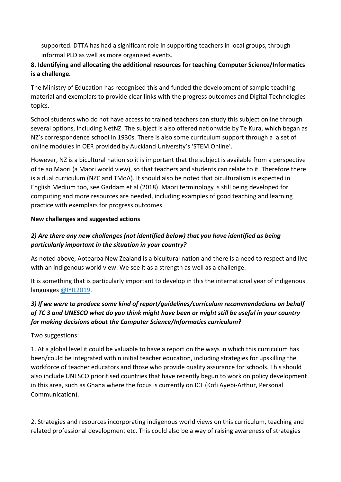supported. DTTA has had a significant role in supporting teachers in local groups, through informal PLD as well as more organised events.

# **8. Identifying and allocating the additional resources for teaching Computer Science/Informatics is a challenge.**

The Ministry of Education has recognised this and funded the development of sample teaching material and exemplars to provide clear links with the progress outcomes and Digital Technologies topics.

School students who do not have access to trained teachers can study this subject online through several options, including NetNZ. The subject is also offered nationwide by Te Kura, which began as NZ's correspondence school in 1930s. There is also some curriculum support through a a set of online modules in OER provided by Auckland University's 'STEM Online'.

However, NZ is a bicultural nation so it is important that the subject is available from a perspective of te ao Maori (a Maori world view), so that teachers and students can relate to it. Therefore there is a dual curriculum (NZC and TMoA). It should also be noted that biculturalism is expected in English Medium too, see Gaddam et al (2018). Maori terminology is still being developed for computing and more resources are needed, including examples of good teaching and learning practice with exemplars for progress outcomes.

# **New challenges and suggested actions**

# *2) Are there any new challenges (not identified below) that you have identified as being particularly important in the situation in your country?*

As noted above, Aotearoa New Zealand is a bicultural nation and there is a need to respect and live with an indigenous world view. We see it as a strength as well as a challenge.

It is something that is particularly important to develop in this the international year of indigenous languages [@IYIL2019.](https://twitter.com/IYIL2019)

# *3) If we were to produce some kind of report/guidelines/curriculum recommendations on behalf of TC 3 and UNESCO what do you think might have been or might still be useful in your country for making decisions about the Computer Science/Informatics curriculum?*

Two suggestions:

1. At a global level it could be valuable to have a report on the ways in which this curriculum has been/could be integrated within initial teacher education, including strategies for upskilling the workforce of teacher educators and those who provide quality assurance for schools. This should also include UNESCO prioritised countries that have recently begun to work on policy development in this area, such as Ghana where the focus is currently on ICT (Kofi Ayebi-Arthur, Personal Communication).

2. Strategies and resources incorporating indigenous world views on this curriculum, teaching and related professional development etc. This could also be a way of raising awareness of strategies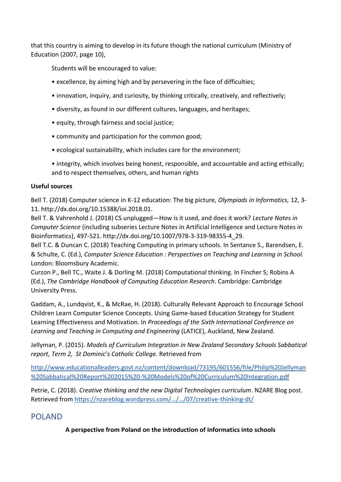that this country is aiming to develop in its future though the national curriculum (Ministry of Education (2007, page 10),

Students will be encouraged to value:

- excellence, by aiming high and by persevering in the face of difficulties;
- innovation, inquiry, and curiosity, by thinking critically, creatively, and reflectively;
- diversity, as found in our different cultures, languages, and heritages;
- equity, through fairness and social justice;
- community and participation for the common good;
- ecological sustainability, which includes care for the environment;
- integrity, which involves being honest, responsible, and accountable and acting ethically; and to respect themselves, others, and human rights

# **Useful sources**

Bell T. (2018) Computer science in K-12 education: The big picture, *Olympiads in Informatics,* 12, 3- 11. http://dx.doi.org/10.15388/ioi.2018.01.

Bell T. & Vahrenhold J. (2018) CS unplugged—How is it used, and does it work? *Lecture Notes in Computer Science* (including subseries Lecture Notes in Artificial Intelligence and Lecture Notes in Bioinformatics), 497-521. http://dx.doi.org/10.1007/978-3-319-98355-4\_29.

Bell T.C. & Duncan C. (2018) Teaching Computing in primary schools. In Sentance S., Barendsen, E. & Schulte, C. (Ed.), *Computer Science Education : Perspectives on Teaching and Learning in School.* London: Bloomsbury Academic.

Curzon P., Bell TC., Waite J. & Dorling M. (2018) Computational thinking. In Fincher S; Robins A (Ed.), *The Cambridge Handbook of Computing Education Research*. Cambridge: Cambridge University Press[.](https://nzareblog.wordpress.com/2018/03/07/creative-thinking-dt/?fbclid=IwAR3lkJ2gGE8gRC8lerLpbWHmeictFNcfd7pHSCiVK4yb7EQn7sLj9OJxVUI)

Gaddam, A., Lundqvist, K., & McRae, H. (2018). Culturally Relevant Approach to Encourage School Children Learn Computer Science Concepts. Using Game-based Education Strategy for Student Learning Effectiveness and Motivation. In *Proceedings of the Sixth International Conference on Learning and Teaching in Computing and Engineering* (LATICE), Auckland, New Zealand.

Jellyman, P. (2015). *Models of Curriculum Integration in New Zealand Secondary Schools Sabbatical report, Term 2, St Dominic's Catholic College.* Retrieved from

[http://www.educationalleaders.govt.nz/content/download/73195/601556/file/Philip%20Jellyman](http://www.educationalleaders.govt.nz/content/download/73195/601556/file/Philip%20Jellyman%20Sabbatical%20Report%202015%20-%20Models%20of%20Curriculum%20Integration.pdf) [%20Sabbatical%20Report%202015%20-%20Models%20of%20Curriculum%20Integration.pdf](http://www.educationalleaders.govt.nz/content/download/73195/601556/file/Philip%20Jellyman%20Sabbatical%20Report%202015%20-%20Models%20of%20Curriculum%20Integration.pdf)

Petrie, C. (2018). *Creative thinking and the new Digital Technologies curriculum*. NZARE Blog post. Retrieved from [https://nzareblog.wordpress.com/…/…/07/creative](https://nzareblog.wordpress.com/2018/03/07/creative-thinking-dt/?fbclid=IwAR3lkJ2gGE8gRC8lerLpbWHmeictFNcfd7pHSCiVK4yb7EQn7sLj9OJxVUI)-thinking-dt/

# <span id="page-27-0"></span>POLAND

**A perspective from Poland on the introduction of Informatics into schools**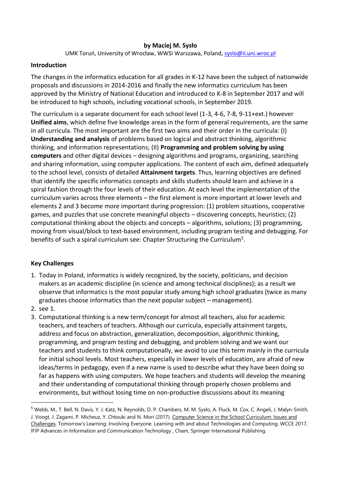### **by Maciej M. Sysło**

UMK Toruń, University of Wrocław, WWSI Warszawa, Poland, [syslo@ii.uni.wroc.pl](mailto:syslo@ii.uni.wroc.pl)

### **Introduction**

The changes in the informatics education for all grades in K-12 have been the subject of nationwide proposals and discussions in 2014-2016 and finally the new informatics curriculum has been approved by the Ministry of National Education and introduced to K-8 in September 2017 and will be introduced to high schools, including vocational schools, in September 2019.

The curriculum is a separate document for each school level (1-3, 4-6, 7-8, 9-11+ext.) however **Unified aims**, which define five knowledge areas in the form of general requirements, are the same in all curricula. The most important are the first two aims and their order in the curricula: (I) **Understanding and analysis** of problems based on logical and abstract thinking, algorithmic thinking, and information representations; (II) **Programming and problem solving by using computers** and other digital devices – designing algorithms and programs, organizing, searching and sharing information, using computer applications. The content of each aim, defined adequately to the school level, consists of detailed **Attainment targets**. Thus, learning objectives are defined that identify the specific informatics concepts and skills students should learn and achieve in a spiral fashion through the four levels of their education. At each level the implementation of the curriculum varies across three elements – the first element is more important at lower levels and elements 2 and 3 become more important during progression: (1) problem situations, cooperative games, and puzzles that use concrete meaningful objects – discovering concepts, heuristics; (2) computational thinking about the objects and concepts – algorithms, solutions; (3) programming, moving from visual/block to text-based environment, including program testing and debugging. For benefits of such a spiral curriculum see: Chapter Structuring the Curriculum<sup>5</sup>.

## **Key Challenges**

- 1. Today in Poland, informatics is widely recognized, by the society, politicians, and decision makers as an academic discipline (in science and among technical disciplines); as a result we observe that informatics is the most popular study among high school graduates (twice as many graduates choose informatics than the next popular subject – management).
- 2. see 1.
- 3. Computational thinking is a new term/concept for almost all teachers, also for academic teachers, and teachers of teachers. Although our curricula, especially attainment targets, address and focus on abstraction, generalization, decomposition, algorithmic thinking, programming, and program testing and debugging, and problem solving and we want our teachers and students to think computationally, we avoid to use this term mainly in the curricula for initial school levels. Most teachers, especially in lower levels of education, are afraid of new ideas/terms in pedagogy, even if a new name is used to describe what they have been doing so far as happens with using computers. We hope teachers and students will develop the meaning and their understanding of computational thinking through properly chosen problems and environments, but without losing time on non-productive discussions about its meaning

<sup>5</sup> Webb, M., T. Bell, N. Davis, Y. J. Katz, N. Reynolds, D. P. Chambers, M. M. Sysło, A. Fluck, M. Cox, C. Angeli, J. Malyn‐Smith, J. Voogt, J. Zagami, P. Micheuz, Y. Chtouki and N. Mori (2017). Computer Science in the School Curriculum: Issues and Challenges. Tomorrow's Learning: Involving Everyone. Learning with and about Technologies and Computing. WCCE 2017, IFIP Advances in Information and Communication Technology , Cham, Springer International Publishing.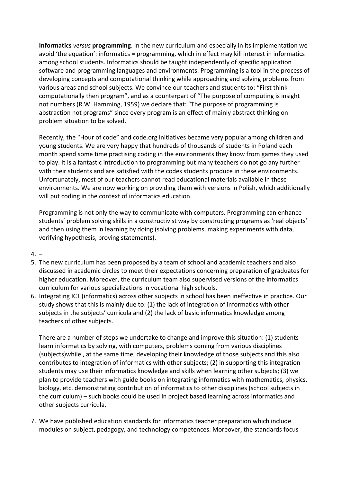**Informatics** *versus* **programming**. In the new curriculum and especially in its implementation we avoid 'the equation': informatics = programming, which in effect may kill interest in informatics among school students. Informatics should be taught independently of specific application software and programming languages and environments. Programming is a tool in the process of developing concepts and computational thinking while approaching and solving problems from various areas and school subjects. We convince our teachers and students to: "First think computationally then program", and as a counterpart of "The purpose of computing is insight not numbers (R.W. Hamming, 1959) we declare that: "The purpose of programming is abstraction not programs" since every program is an effect of mainly abstract thinking on problem situation to be solved.

Recently, the "Hour of code" and code.org initiatives became very popular among children and young students. We are very happy that hundreds of thousands of students in Poland each month spend some time practising coding in the environments they know from games they used to play. It is a fantastic introduction to programming but many teachers do not go any further with their students and are satisfied with the codes students produce in these environments. Unfortunately, most of our teachers cannot read educational materials available in these environments. We are now working on providing them with versions in Polish, which additionally will put coding in the context of informatics education.

Programming is not only the way to communicate with computers. Programming can enhance students' problem solving skills in a constructivist way by constructing programs as 'real objects' and then using them in learning by doing (solving problems, making experiments with data, verifying hypothesis, proving statements).

## $4. -$

- 5. The new curriculum has been proposed by a team of school and academic teachers and also discussed in academic circles to meet their expectations concerning preparation of graduates for higher education. Moreover, the curriculum team also supervised versions of the informatics curriculum for various specializations in vocational high schools.
- 6. Integrating ICT (informatics) across other subjects in school has been ineffective in practice. Our study shows that this is mainly due to: (1) the lack of integration of informatics with other subjects in the subjects' curricula and (2) the lack of basic informatics knowledge among teachers of other subjects.

There are a number of steps we undertake to change and improve this situation: (1) students learn informatics by solving, with computers, problems coming from various disciplines (subjects)while , at the same time, developing their knowledge of those subjects and this also contributes to integration of informatics with other subjects; (2) in supporting this integration students may use their informatics knowledge and skills when learning other subjects; (3) we plan to provide teachers with guide books on integrating informatics with mathematics, physics, biology, etc. demonstrating contribution of informatics to other disciplines (school subjects in the curriculum) – such books could be used in project based learning across informatics and other subjects curricula.

7. We have published education standards for informatics teacher preparation which include modules on subject, pedagogy, and technology competences. Moreover, the standards focus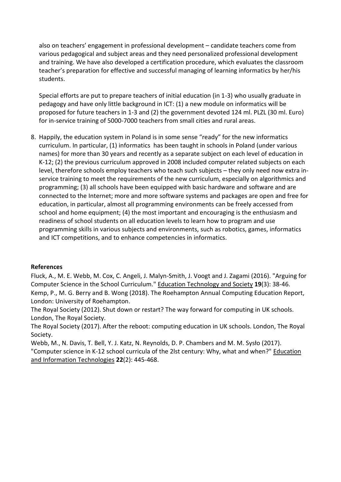also on teachers' engagement in professional development – candidate teachers come from various pedagogical and subject areas and they need personalized professional development and training. We have also developed a certification procedure, which evaluates the classroom teacher's preparation for effective and successful managing of learning informatics by her/his students.

Special efforts are put to prepare teachers of initial education (in 1-3) who usually graduate in pedagogy and have only little background in ICT: (1) a new module on informatics will be proposed for future teachers in 1-3 and (2) the government devoted 124 ml. PLZL (30 ml. Euro) for in-service training of 5000-7000 teachers from small cities and rural areas.

8. Happily, the education system in Poland is in some sense "ready" for the new informatics curriculum. In particular, (1) informatics has been taught in schools in Poland (under various names) for more than 30 years and recently as a separate subject on each level of education in K-12; (2) the previous curriculum approved in 2008 included computer related subjects on each level, therefore schools employ teachers who teach such subjects – they only need now extra inservice training to meet the requirements of the new curriculum, especially on algorithmics and programming; (3) all schools have been equipped with basic hardware and software and are connected to the Internet; more and more software systems and packages are open and free for education, in particular, almost all programming environments can be freely accessed from school and home equipment; (4) the most important and encouraging is the enthusiasm and readiness of school students on all education levels to learn how to program and use programming skills in various subjects and environments, such as robotics, games, informatics and ICT competitions, and to enhance competencies in informatics.

## **References**

Fluck, A., M. E. Webb, M. Cox, C. Angeli, J. Malyn-Smith, J. Voogt and J. Zagami (2016). "Arguing for Computer Science in the School Curriculum." Education Technology and Society **19**(3): 38-46. Kemp, P., M. G. Berry and B. Wong (2018). The Roehampton Annual Computing Education Report, London: University of Roehampton.

The Royal Society (2012). Shut down or restart? The way forward for computing in UK schools. London, The Royal Society.

The Royal Society (2017). After the reboot: computing education in UK schools. London, The Royal Society.

Webb, M., N. Davis, T. Bell, Y. J. Katz, N. Reynolds, D. P. Chambers and M. M. Sysło (2017). "Computer science in K-12 school curricula of the 2lst century: Why, what and when?" Education and Information Technologies **22**(2): 445-468.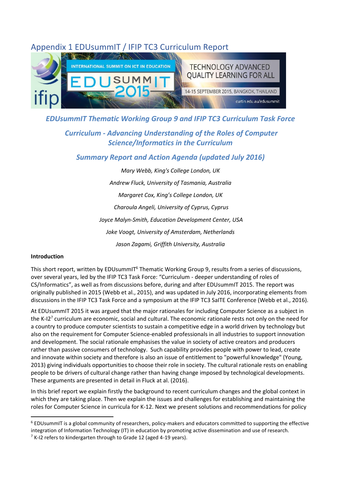# <span id="page-31-0"></span>Appendix 1 EDUsummIT / IFIP TC3 Curriculum Report



# *EDUsummIT Thematic Working Group 9 and IFIP TC3 Curriculum Task Force*

# *Curriculum - Advancing Understanding of the Roles of Computer Science/Informatics in the Curriculum*

# *Summary Report and Action Agenda (updated July 2016)*

*Mary Webb, King's College London, UK Andrew Fluck, University of Tasmania, Australia Margaret Cox, King's College London, UK Charoula Angeli, University of Cyprus, Cyprus Joyce Malyn-Smith, Education Development Center, USA Joke Voogt, University of Amsterdam, Netherlands Jason Zagami, Griffith University, Australia*

#### **Introduction**

This short report, written by EDUsummIT<sup>6</sup> Thematic Working Group 9, results from a series of discussions, over several years, led by the IFIP TC3 Task Force: "Curriculum - deeper understanding of roles of CS/Informatics", as well as from discussions before, during and after EDUsummIT 2015. The report was originally published in 2015 (Webb et al., 2015), and was updated in July 2016, incorporating elements from discussions in the IFIP TC3 Task Force and a symposium at the IFIP TC3 SaITE Conference (Webb et al., 2016).

At EDUsummIT 2015 it was argued that the major rationales for including Computer Science as a subject in the K-I2<sup>7</sup> curriculum are economic, social and cultural. The economic rationale rests not only on the need for a country to produce computer scientists to sustain a competitive edge in a world driven by technology but also on the requirement for Computer Science-enabled professionals in all industries to support innovation and development. The social rationale emphasises the value in society of active creators and producers rather than passive consumers of technology. Such capability provides people with power to lead, create and innovate within society and therefore is also an issue of entitlement to "powerful knowledge" (Young, 2013) giving individuals opportunities to choose their role in society. The cultural rationale rests on enabling people to be drivers of cultural change rather than having change imposed by technological developments. These arguments are presented in detail in Fluck at al. (2016).

In this brief report we explain firstly the background to recent curriculum changes and the global context in which they are taking place. Then we explain the issues and challenges for establishing and maintaining the roles for Computer Science in curricula for K-12. Next we present solutions and recommendations for policy

 $6$  EDUsummIT is a global community of researchers, policy-makers and educators committed to supporting the effective integration of Information Technology (IT) in education by promoting active dissemination and use of research.

 $7$  K-I2 refers to kindergarten through to Grade 12 (aged 4-19 years).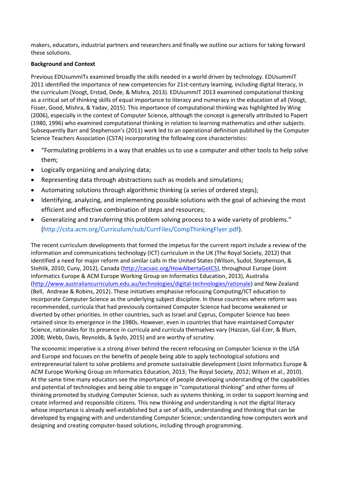makers, educators, industrial partners and researchers and finally we outline our actions for taking forward these solutions.

#### **Background and Context**

Previous EDUsummITs examined broadly the skills needed in a world driven by technology. EDUsummIT 2011 identified the importance of new competencies for 21st-century learning, including digital literacy, in the curriculum (Voogt, Erstad, Dede, & Mishra, 2013). EDUsummIT 2013 examined computational thinking as a critical set of thinking skills of equal importance to literacy and numeracy in the education of all (Voogt, Fisser, Good, Mishra, & Yadav, 2015). This importance of computational thinking was highlighted by Wing (2006), especially in the context of Computer Science, although the concept is generally attributed to Papert (1980, 1996) who examined computational thinking in relation to learning mathematics and other subjects. Subsequently Barr and Stephenson's (2011) work led to an operational definition published by the Computer Science Teachers Association (CSTA) incorporating the following core characteristics:

- "Formulating problems in a way that enables us to use a computer and other tools to help solve them;
- Logically organizing and analyzing data;
- Representing data through abstractions such as models and simulations;
- Automating solutions through algorithmic thinking (a series of ordered steps);
- Identifying, analyzing, and implementing possible solutions with the goal of achieving the most efficient and effective combination of steps and resources;
- Generalizing and transferring this problem solving process to a wide variety of problems." [\(http://csta.acm.org/Curriculum/sub/CurrFiles/CompThinkingFlyer.pdf\)](http://csta.acm.org/Curriculum/sub/CurrFiles/CompThinkingFlyer.pdf).

The recent curriculum developments that formed the impetus for the current report include a review of the information and communications technology (ICT) curriculum in the UK (The Royal Society, 2012) that identified a need for major reform and similar calls in the United States (Wilson, Sudol, Stephenson, & Stehlik, 2010; Cuny, 2012), Canada [\(http://cacsaic.org/HowAlbertaGotCS\)](http://cacsaic.org/HowAlbertaGotCS), throughout Europe (Joint Informatics Europe & ACM Europe Working Group on Informatics Education, 2013), Australia [\(http://www.australiancurriculum.edu.au/technologies/digital-technologies/rationale\)](http://www.australiancurriculum.edu.au/technologies/digital-technologies/rationale) and New Zealand (Bell, Andreae & Robins, 2012). These initiatives emphasise refocusing Computing/ICT education to incorporate Computer Science as the underlying subject discipline. In these countries where reform was recommended, curricula that had previously contained Computer Science had become weakened or diverted by other priorities. In other countries, such as Israel and Cyprus, Computer Science has been retained since its emergence in the 1980s. However, even in countries that have maintained Computer Science, rationales for its presence in curricula and curricula themselves vary (Hazzan, Gal-Ezer, & Blum, 2008; Webb, Davis, Reynolds, & Sysło, 2015) and are worthy of scrutiny.

The economic imperative is a strong driver behind the recent refocusing on Computer Science in the USA and Europe and focuses on the benefits of people being able to apply technological solutions and entrepreneurial talent to solve problems and promote sustainable development (Joint Informatics Europe & ACM Europe Working Group on Informatics Education, 2013; The Royal Society, 2012; Wilson et al., 2010). At the same time many educators see the importance of people developing understanding of the capabilities and potential of technologies and being able to engage in "computational thinking" and other forms of thinking promoted by studying Computer Science, such as systems thinking, in order to support learning and create informed and responsible citizens. This new thinking and understanding is not the digital literacy whose importance is already well-established but a set of skills, understanding and thinking that can be developed by engaging with and understanding Computer Science; understanding how computers work and designing and creating computer-based solutions, including through programming.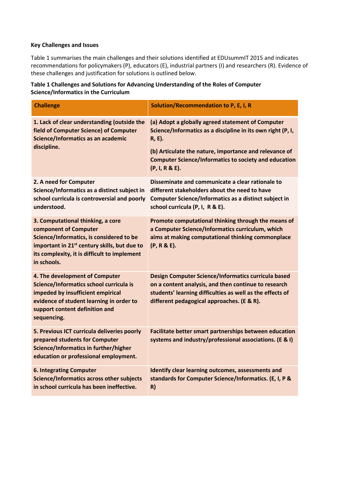#### **Key Challenges and Issues**

Table 1 summarises the main challenges and their solutions identified at EDUsummIT 2015 and indicates recommendations for policymakers (P), educators (E), industrial partners (I) and researchers (R). Evidence of these challenges and justification for solutions is outlined below.

| Table 1 Challenges and Solutions for Advancing Understanding of the Roles of Computer |  |
|---------------------------------------------------------------------------------------|--|
| Science/Informatics in the Curriculum                                                 |  |

| <b>Challenge</b>                                                                                                                                                                                                                  | Solution/Recommendation to P, E, I, R                                                                                                                                                                                                                                  |
|-----------------------------------------------------------------------------------------------------------------------------------------------------------------------------------------------------------------------------------|------------------------------------------------------------------------------------------------------------------------------------------------------------------------------------------------------------------------------------------------------------------------|
| 1. Lack of clear understanding (outside the<br>field of Computer Science) of Computer<br>Science/Informatics as an academic<br>discipline.                                                                                        | (a) Adopt a globally agreed statement of Computer<br>Science/Informatics as a discipline in its own right (P, I,<br>R, E).<br>(b) Articulate the nature, importance and relevance of<br><b>Computer Science/Informatics to society and education</b><br>(P, I, R & E). |
| 2. A need for Computer<br>Science/Informatics as a distinct subject in<br>school curricula is controversial and poorly<br>understood.                                                                                             | Disseminate and communicate a clear rationale to<br>different stakeholders about the need to have<br><b>Computer Science/Informatics as a distinct subject in</b><br>school curricula (P, I, R & E).                                                                   |
| 3. Computational thinking, a core<br>component of Computer<br>Science/Informatics, is considered to be<br>important in 21 <sup>st</sup> century skills, but due to<br>its complexity, it is difficult to implement<br>in schools. | Promote computational thinking through the means of<br>a Computer Science/Informatics curriculum, which<br>aims at making computational thinking commonplace<br>(P, R & E).                                                                                            |
| 4. The development of Computer<br>Science/Informatics school curricula is<br>impeded by insufficient empirical<br>evidence of student learning in order to<br>support content definition and<br>sequencing.                       | Design Computer Science/Informatics curricula based<br>on a content analysis, and then continue to research<br>students' learning difficulties as well as the effects of<br>different pedagogical approaches. (E & R).                                                 |
| 5. Previous ICT curricula deliveries poorly<br>prepared students for Computer<br><b>Science/Informatics in further/higher</b><br>education or professional employment.                                                            | Facilitate better smart partnerships between education<br>systems and industry/professional associations. (E & I)                                                                                                                                                      |
| <b>6. Integrating Computer</b><br><b>Science/Informatics across other subjects</b><br>in school curricula has been ineffective.                                                                                                   | Identify clear learning outcomes, assessments and<br>standards for Computer Science/Informatics. (E, I, P &<br>R)                                                                                                                                                      |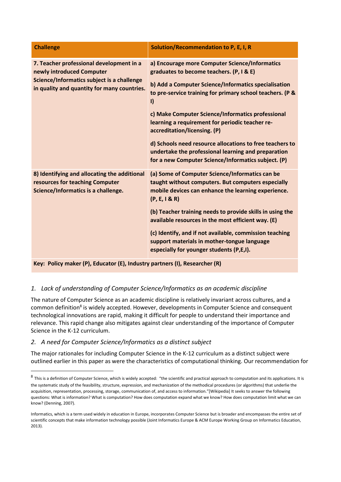| <b>Challenge</b>                                                                                                                                                   | Solution/Recommendation to P, E, I, R                                                                                                                                                                                                                                                                                                                                                                                                                                                                                                        |
|--------------------------------------------------------------------------------------------------------------------------------------------------------------------|----------------------------------------------------------------------------------------------------------------------------------------------------------------------------------------------------------------------------------------------------------------------------------------------------------------------------------------------------------------------------------------------------------------------------------------------------------------------------------------------------------------------------------------------|
| 7. Teacher professional development in a<br>newly introduced Computer<br>Science/Informatics subject is a challenge<br>in quality and quantity for many countries. | a) Encourage more Computer Science/Informatics<br>graduates to become teachers. (P, I & E)<br>b) Add a Computer Science/Informatics specialisation<br>to pre-service training for primary school teachers. (P &<br>$\vert$<br>c) Make Computer Science/Informatics professional<br>learning a requirement for periodic teacher re-<br>accreditation/licensing. (P)<br>d) Schools need resource allocations to free teachers to<br>undertake the professional learning and preparation<br>for a new Computer Science/Informatics subject. (P) |
| 8) Identifying and allocating the additional<br>resources for teaching Computer<br>Science/Informatics is a challenge.                                             | (a) Some of Computer Science/Informatics can be<br>taught without computers. But computers especially<br>mobile devices can enhance the learning experience.<br>(P, E, I & R)<br>(b) Teacher training needs to provide skills in using the<br>available resources in the most efficient way. (E)<br>(c) Identify, and if not available, commission teaching<br>support materials in mother-tongue language<br>especially for younger students (P,E,I).                                                                                       |

**Key: Policy maker (P), Educator (E), Industry partners (I), Researcher (R)**

## *1. Lack of understanding of Computer Science/Informatics as an academic discipline*

The nature of Computer Science as an academic discipline is relatively invariant across cultures, and a common definition<sup>8</sup> is widely accepted. However, developments in Computer Science and consequent technological innovations are rapid, making it difficult for people to understand their importance and relevance. This rapid change also mitigates against clear understanding of the importance of Computer Science in the K-12 curriculum.

## *2. A need for Computer Science/Informatics as a distinct subject*

The major rationales for including Computer Science in the K-12 curriculum as a distinct subject were outlined earlier in this paper as were the characteristics of computational thinking. Our recommendation for

 $^8$  This is a definition of Computer Science, which is widely accepted: "the scientific and practical approach to computation and its applications. It is the systematic study of the feasibility, structure, expression, and mechanization of the methodical procedures (or algorithms) that underlie the acquisition, representation, processing, storage, communication of, and access to information."[Wikipedia] It seeks to answer the following questions: What is information? What is computation? How does computation expand what we know? How does computation limit what we can know? (Denning, 2007).

Informatics, which is a term used widely in education in Europe, incorporates Computer Science but is broader and encompasses the entire set of scientific concepts that make information technology possible (Joint Informatics Europe & ACM Europe Working Group on Informatics Education, 2013).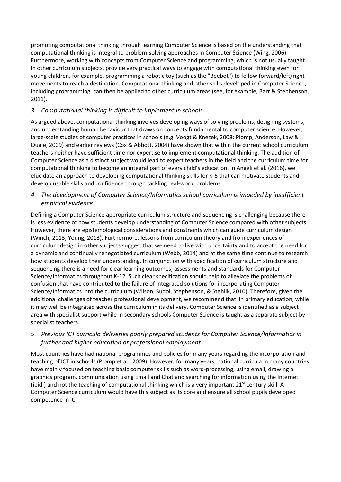promoting computational thinking through learning Computer Science is based on the understanding that computational thinking is integral to problem-solving approaches in Computer Science (Wing, 2006). Furthermore, working with concepts from Computer Science and programming, which is not usually taught in other curriculum subjects, provide very practical ways to engage with computational thinking even for young children, for example, programming a robotic toy (such as the "Beebot") to follow forward/left/right movements to reach a destination. Computational thinking and other skills developed in Computer Science, including programming, can then be applied to other curriculum areas (see, for example, Barr & Stephenson, 2011).

# *3. Computational thinking is difficult to implement in schools*

As argued above, computational thinking involves developing ways of solving problems, designing systems, and understanding human behaviour that draws on concepts fundamental to computer science. However, large-scale studies of computer practices in schools (e.g. Voogt & Knezek, 2008; Plomp, Anderson, Law & Quale, 2009) and earlier reviews (Cox & Abbott, 2004) have shown that within the current school curriculum teachers neither have sufficient time nor expertise to implement computational thinking. The addition of Computer Science as a distinct subject would lead to expert teachers in the field and the curriculum time for computational thinking to become an integral part of every child's education. In Angeli et al. (2016), we elucidate an approach to developing computational thinking skills for K-6 that can motivate students and develop usable skills and confidence through tackling real-world problems.

# *4. The development of Computer Science/Informatics school curriculum is impeded by insufficient empirical evidence*

Defining a Computer Science appropriate curriculum structure and sequencing is challenging because there is less evidence of how students develop understanding of Computer Science compared with other subjects. However, there are epistemological considerations and constraints which can guide curriculum design (Winch, 2013; Young, 2013). Furthermore, lessons from curriculum theory and from experiences of curriculum design in other subjects suggest that we need to live with uncertainty and to accept the need for a dynamic and continually renegotiated curriculum (Webb, 2014) and at the same time continue to research how students develop their understanding. In conjunction with specification of curriculum structure and sequencing there is a need for clear learning outcomes, assessments and standards for Computer Science/Informatics throughout K-12. Such clear specification should help to alleviate the problems of confusion that have contributed to the failure of integrated solutions for incorporating Computer Science/Informatics into the curriculum (Wilson, Sudol, Stephenson, & Stehlik, 2010). Therefore, given the additional challenges of teacher professional development, we recommend that in primary education, while it may well be integrated across the curriculum in its delivery, Computer Science is identified as a subject area with specialist support while in secondary schools Computer Science is taught as a separate subject by specialist teachers.

## *5. Previous ICT curricula deliveries poorly prepared students for Computer Science/Informatics in further and higher education or professional employment*

Most countries have had national programmes and policies for many years regarding the incorporation and teaching of ICT in schools (Plomp et al., 2009). However, for many years, national curricula in many countries have mainly focused on teaching basic computer skills such as word-processing, using email, drawing a graphics program, communication using Email and Chat and searching for information using the Internet (ibid.) and not the teaching of computational thinking which is a very important 21<sup>st</sup> century skill. A Computer Science curriculum would have this subject as its core and ensure all school pupils developed competence in it.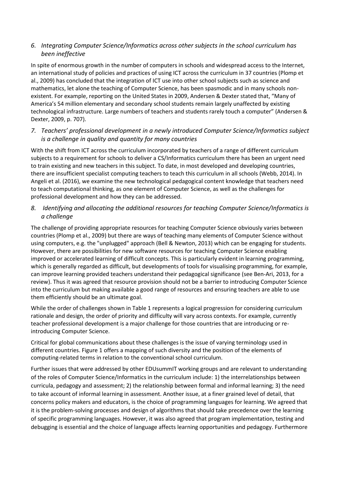## *6. Integrating Computer Science/Informatics across other subjects in the school curriculum has been ineffective*

In spite of enormous growth in the number of computers in schools and widespread access to the Internet, an international study of policies and practices of using ICT across the curriculum in 37 countries (Plomp et al., 2009) has concluded that the integration of ICT use into other school subjects such as science and mathematics, let alone the teaching of Computer Science, has been spasmodic and in many schools nonexistent. For example, reporting on the United States in 2009, Andersen & Dexter stated that, "Many of America's 54 million elementary and secondary school students remain largely unaffected by existing technological infrastructure. Large numbers of teachers and students rarely touch a computer" (Andersen & Dexter, 2009, p. 707).

### *7. Teachers' professional development in a newly introduced Computer Science/Informatics subject is a challenge in quality and quantity for many countries*

With the shift from ICT across the curriculum incorporated by teachers of a range of different curriculum subjects to a requirement for schools to deliver a CS/Informatics curriculum there has been an urgent need to train existing and new teachers in this subject. To date, in most developed and developing countries, there are insufficient specialist computing teachers to teach this curriculum in all schools (Webb, 2014). In Angeli et al. (2016), we examine the new technological pedagogical content knowledge that teachers need to teach computational thinking, as one element of Computer Science, as well as the challenges for professional development and how they can be addressed.

## *8. Identifying and allocating the additional resources for teaching Computer Science/Informatics is a challenge*

The challenge of providing appropriate resources for teaching Computer Science obviously varies between countries (Plomp et al., 2009) but there are ways of teaching many elements of Computer Science without using computers, e.g. the "unplugged" approach (Bell & Newton, 2013) which can be engaging for students. However, there are possibilities for new software resources for teaching Computer Science enabling improved or accelerated learning of difficult concepts. This is particularly evident in learning programming, which is generally regarded as difficult, but developments of tools for visualising programming, for example, can improve learning provided teachers understand their pedagogical significance (see Ben-Ari, 2013, for a review). Thus it was agreed that resource provision should not be a barrier to introducing Computer Science into the curriculum but making available a good range of resources and ensuring teachers are able to use them efficiently should be an ultimate goal.

While the order of challenges shown in Table 1 represents a logical progression for considering curriculum rationale and design, the order of priority and difficulty will vary across contexts. For example, currently teacher professional development is a major challenge for those countries that are introducing or reintroducing Computer Science.

Critical for global communications about these challenges is the issue of varying terminology used in different countries. Figure 1 offers a mapping of such diversity and the position of the elements of computing-related terms in relation to the conventional school curriculum.

Further issues that were addressed by other EDUsummIT working groups and are relevant to understanding of the roles of Computer Science/Informatics in the curriculum include: 1) the interrelationships between curricula, pedagogy and assessment; 2) the relationship between formal and informal learning; 3) the need to take account of informal learning in assessment. Another issue, at a finer grained level of detail, that concerns policy makers and educators, is the choice of programming languages for learning. We agreed that it is the problem-solving processes and design of algorithms that should take precedence over the learning of specific programming languages. However, it was also agreed that program implementation, testing and debugging is essential and the choice of language affects learning opportunities and pedagogy. Furthermore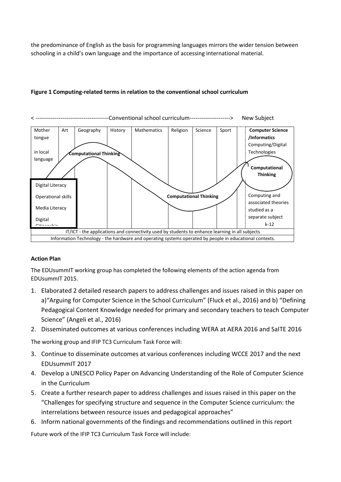the predominance of English as the basis for programming languages mirrors the wider tension between schooling in a child's own language and the importance of accessing international material.



#### **Figure 1 Computing-related terms in relation to the conventional school curriculum**

#### **Action Plan**

The EDUsummIT working group has completed the following elements of the action agenda from EDUsummIT 2015.

- 1. Elaborated 2 detailed research papers to address challenges and issues raised in this paper on a)"Arguing for Computer Science in the School Curriculum" (Fluck et al., 2016) and b) "Defining Pedagogical Content Knowledge needed for primary and secondary teachers to teach Computer Science" (Angeli et al., 2016)
- 2. Disseminated outcomes at various conferences including WERA at AERA 2016 and SaITE 2016

The working group and IFIP TC3 Curriculum Task Force will:

- 3. Continue to disseminate outcomes at various conferences including WCCE 2017 and the next EDUsummIT 2017
- 4. Develop a UNESCO Policy Paper on Advancing Understanding of the Role of Computer Science in the Curriculum
- 5. Create a further research paper to address challenges and issues raised in this paper on the "Challenges for specifying structure and sequence in the Computer Science curriculum: the interrelations between resource issues and pedagogical approaches"
- 6. Inform national governments of the findings and recommendations outlined in this report

Future work of the IFIP TC3 Curriculum Task Force will include: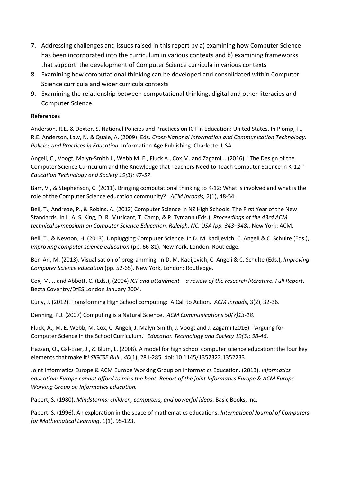- 7. Addressing challenges and issues raised in this report by a) examining how Computer Science has been incorporated into the curriculum in various contexts and b) examining frameworks that support the development of Computer Science curricula in various contexts
- 8. Examining how computational thinking can be developed and consolidated within Computer Science curricula and wider curricula contexts
- 9. Examining the relationship between computational thinking, digital and other literacies and Computer Science.

### **References**

Anderson, R.E. & Dexter, S. National Policies and Practices on ICT in Education: United States. In Plomp, T., R.E. Anderson, Law, N. & Quale, A. (2009). Eds. *Cross-National Information and Communication Technology: Policies and Practices in Education*. Information Age Publishing. Charlotte. USA.

Angeli, C., Voogt, Malyn-Smith J., Webb M. E., Fluck A., Cox M. and Zagami J. (2016). "The Design of the Computer Science Curriculum and the Knowledge that Teachers Need to Teach Computer Science in K-12 " *Education Technology and Society 19(3): 47-57*.

Barr, V., & Stephenson, C. (2011). Bringing computational thinking to K-12: What is involved and what is the role of the Computer Science education community? . *ACM Inroads, 2*(1), 48-54.

Bell, T., Andreae, P., & Robins, A. (2012) Computer Science in NZ High Schools: The First Year of the New Standards. In L. A. S. King, D. R. Musicant, T. Camp, & P. Tymann (Eds.), *Proceedings of the 43rd ACM technical symposium on Computer Science Education, Raleigh, NC, USA (pp. 343–348).* New York: ACM.

Bell, T., & Newton, H. (2013). Unplugging Computer Science. In D. M. Kadijevich, C. Angeli & C. Schulte (Eds.), *Improving computer science education* (pp. 66-81). New York, London: Routledge.

Ben-Ari, M. (2013). Visualisation of programming. In D. M. Kadijevich, C. Angeli & C. Schulte (Eds.), *Improving Computer Science education* (pp. 52-65). New York, London: Routledge.

Cox, M. J. and Abbott, C. (Eds.), (2004) *ICT and attainment – a review of the research literature. Full Report*. Becta Coventry/DfES London January 2004.

Cuny, J. (2012). Transforming High School computing: A Call to Action. *ACM Inroads*, 3(2), 32-36.

Denning, P.J. (2007) Computing is a Natural Science. *ACM Communications 50(7)13-18*.

Fluck, A., M. E. Webb, M. Cox, C. Angeli, J. Malyn-Smith, J. Voogt and J. Zagami (2016). "Arguing for Computer Science in the School Curriculum." *Education Technology and Society 19(3): 38-46*.

Hazzan, O., Gal-Ezer, J., & Blum, L. (2008). A model for high school computer science education: the four key elements that make it! *SIGCSE Bull., 40*(1), 281-285. doi: 10.1145/1352322.1352233.

Joint Informatics Europe & ACM Europe Working Group on Informatics Education. (2013). *Informatics education: Europe cannot afford to miss the boat: Report of the joint Informatics Europe & ACM Europe Working Group on Informatics Education.*

Papert, S. (1980). *Mindstorms: children, computers, and powerful ideas*. Basic Books, Inc.

Papert, S. (1996). An exploration in the space of mathematics educations. *International Journal of Computers for Mathematical Learning*, 1(1), 95-123.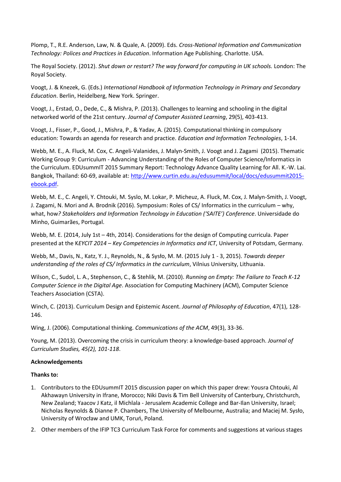Plomp, T., R.E. Anderson, Law, N. & Quale, A. (2009). Eds. *Cross-National Information and Communication Technology: Polices and Practices in Education*. Information Age Publishing. Charlotte. USA.

The Royal Society. (2012). *Shut down or restart? The way forward for computing in UK schools.* London: The Royal Society.

Voogt, J. & Knezek, G. (Eds.) *International Handbook of Information Technology in Primary and Secondary Education*. Berlin, Heidelberg, New York. Springer.

Voogt, J., Erstad, O., Dede, C., & Mishra, P. (2013). Challenges to learning and schooling in the digital networked world of the 21st century. *Journal of Computer Assisted Learning*, 29(5), 403-413.

Voogt, J., Fisser, P., Good, J., Mishra, P., & Yadav, A. (2015). Computational thinking in compulsory education: Towards an agenda for research and practice. *Education and Information Technologies*, 1-14.

Webb, M. E., A. Fluck, M. Cox, C. Angeli-Valanides, J. Malyn-Smith, J. Voogt and J. Zagami (2015). Thematic Working Group 9: Curriculum - Advancing Understanding of the Roles of Computer Science/Informatics in the Curriculum. EDUsummIT 2015 Summary Report: Technology Advance Quality Learning for All. K.-W. Lai. Bangkok, Thailand: 60-69, available at: [http://www.curtin.edu.au/edusummit/local/docs/edusummit2015](http://www.curtin.edu.au/edusummit/local/docs/edusummit2015-ebook.pdf) [ebook.pdf.](http://www.curtin.edu.au/edusummit/local/docs/edusummit2015-ebook.pdf)

Webb, M. E., C. Angeli, Y. Chtouki, M. Syslo, M. Lokar, P. Micheuz, A. Fluck, M. Cox, J. Malyn-Smith, J. Voogt, J. Zagami, N. Mori and A. Brodnik (2016). Symposium: Roles of CS/ Informatics in the curriculum – why, what, how*? Stakeholders and Information Technology in Education ('SAITE') Conference*. Universidade do Minho, Guimarães, Portugal.

Webb, M. E. (2014, July 1st – 4th, 2014). Considerations for the design of Computing curricula. Paper presented at the K*EYCIT 2014 – Key Competencies in Informatics and ICT*, University of Potsdam, Germany.

Webb, M., Davis, N., Katz, Y. J., Reynolds, N., & Sysło, M. M. (2015 July 1 - 3, 2015). *Towards deeper understanding of the roles of CS/ Informatics in the curriculum*, Vilnius University, Lithuania.

Wilson, C., Sudol, L. A., Stephenson, C., & Stehlik, M. (2010). *Running on Empty: The Failure to Teach K-12 Computer Science in the Digital Age*. Association for Computing Machinery (ACM), Computer Science Teachers Association (CSTA).

Winch, C. (2013). Curriculum Design and Epistemic Ascent. *Journal of Philosophy of Education*, 47(1), 128- 146.

Wing, J. (2006). Computational thinking. *Communications of the ACM*, 49(3), 33-36.

Young, M. (2013). Overcoming the crisis in curriculum theory: a knowledge-based approach. *Journal of Curriculum Studies, 45(2), 101-118*.

#### **Acknowledgements**

#### **Thanks to:**

- 1. Contributors to the EDUsummIT 2015 discussion paper on which this paper drew: Yousra Chtouki, Al Akhawayn University in Ifrane, Morocco; Niki Davis & Tim Bell University of Canterbury, Christchurch, New Zealand; Yaacov J Katz, il Michlala - Jerusalem Academic College and Bar-Ilan University, Israel; Nicholas Reynolds & Dianne P. Chambers, The University of Melbourne, Australia; and Maciej M. Sysło, University of Wrocław and UMK, Toruń, Poland.
- 2. Other members of the IFIP TC3 Curriculum Task Force for comments and suggestions at various stages